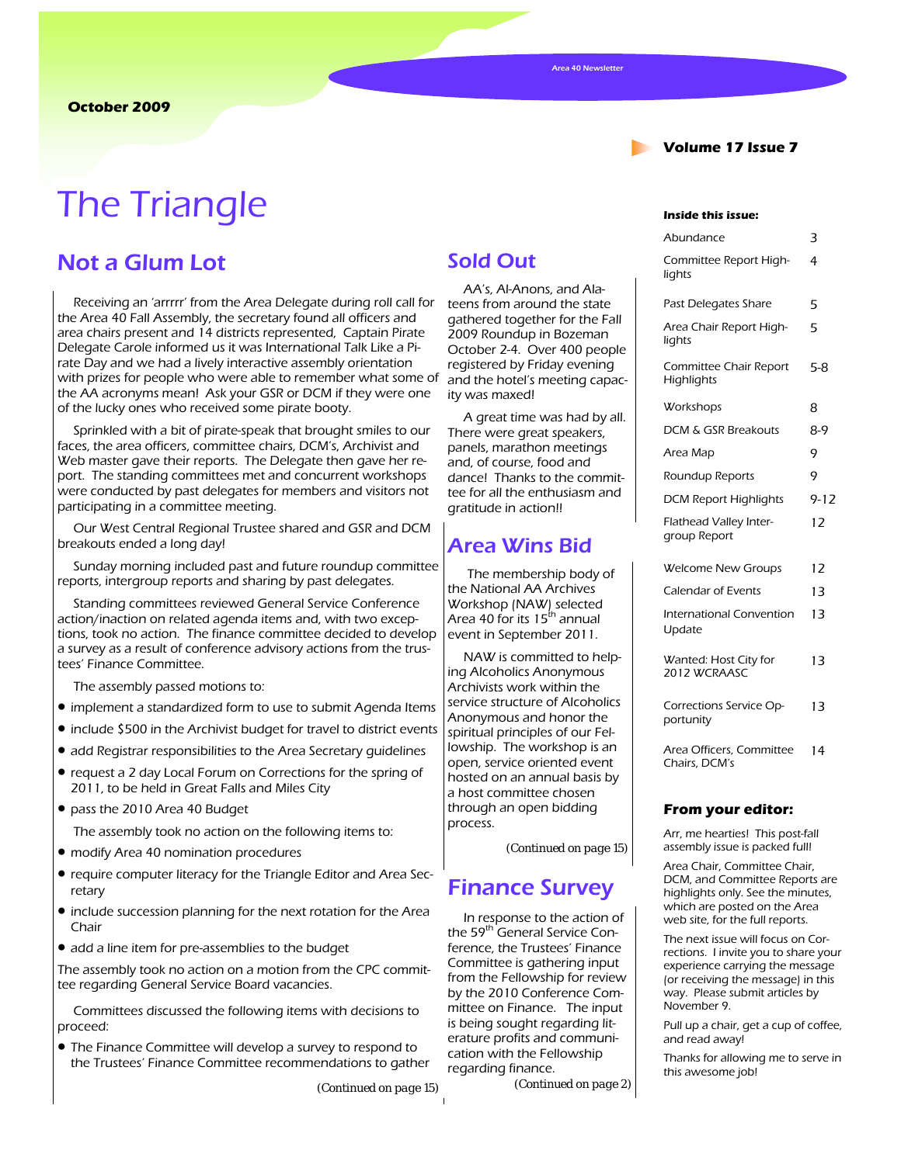**Volume 17 Issue 7** 

# The Triangle **Inside this issue:**

### Not a Glum Lot

Receiving an 'arrrrr' from the Area Delegate during roll call for the Area 40 Fall Assembly, the secretary found all officers and area chairs present and 14 districts represented, Captain Pirate Delegate Carole informed us it was International Talk Like a Pirate Day and we had a lively interactive assembly orientation with prizes for people who were able to remember what some of the AA acronyms mean! Ask your GSR or DCM if they were one of the lucky ones who received some pirate booty.

Sprinkled with a bit of pirate-speak that brought smiles to our faces, the area officers, committee chairs, DCM's, Archivist and Web master gave their reports. The Delegate then gave her report. The standing committees met and concurrent workshops were conducted by past delegates for members and visitors not participating in a committee meeting.

Our West Central Regional Trustee shared and GSR and DCM breakouts ended a long day!

Sunday morning included past and future roundup committee reports, intergroup reports and sharing by past delegates.

Standing committees reviewed General Service Conference action/inaction on related agenda items and, with two exceptions, took no action. The finance committee decided to develop a survey as a result of conference advisory actions from the trustees' Finance Committee.

The assembly passed motions to:

- implement a standardized form to use to submit Agenda Items
- include \$500 in the Archivist budget for travel to district events
- add Registrar responsibilities to the Area Secretary guidelines
- request a 2 day Local Forum on Corrections for the spring of 2011, to be held in Great Falls and Miles City
- pass the 2010 Area 40 Budget

The assembly took no action on the following items to:

- modify Area 40 nomination procedures
- require computer literacy for the Triangle Editor and Area Secretary
- include succession planning for the next rotation for the Area Chair
- add a line item for pre-assemblies to the budget

The assembly took no action on a motion from the CPC committee regarding General Service Board vacancies.

Committees discussed the following items with decisions to proceed:

• The Finance Committee will develop a survey to respond to the Trustees' Finance Committee recommendations to gather

*(Continued on page 15)* 

### Sold Out

AA's, Al-Anons, and Alateens from around the state gathered together for the Fall 2009 Roundup in Bozeman October 2-4. Over 400 people registered by Friday evening and the hotel's meeting capacity was maxed!

A great time was had by all. There were great speakers, panels, marathon meetings and, of course, food and dance! Thanks to the committee for all the enthusiasm and gratitude in action!!

### Area Wins Bid

The membership body of the National AA Archives Workshop (NAW) selected Area 40 for its 15<sup>th</sup> annual event in September 2011.

NAW is committed to helping Alcoholics Anonymous Archivists work within the service structure of Alcoholics Anonymous and honor the spiritual principles of our Fellowship. The workshop is an open, service oriented event hosted on an annual basis by a host committee chosen through an open bidding process.

*(Continued on page 15)* 

### Finance Survey

In response to the action of the 59<sup>th</sup> General Service Conference, the Trustees' Finance Committee is gathering input from the Fellowship for review by the 2010 Conference Committee on Finance. The input is being sought regarding literature profits and communication with the Fellowship regarding finance.

*(Continued on page 2)* 

| Abundance                                   | 3        |
|---------------------------------------------|----------|
| Committee Report High-<br>lights            | 4        |
| Past Delegates Share                        | 5        |
| Area Chair Report High-<br>lights           | 5        |
| Committee Chair Report<br><b>Highlights</b> | $5 - 8$  |
| Workshops                                   | 8        |
| DCM & GSR Breakouts                         | $8-9$    |
| Area Map                                    | 9        |
| Roundup Reports                             | 9        |
| <b>DCM Report Highlights</b>                | $9 - 12$ |
| Flathead Valley Inter-<br>group Report      | 12       |
| Welcome New Groups                          | 12       |
| <b>Calendar of Events</b>                   | 13       |
| International Convention<br>Update          | 13       |
| Wanted: Host City for<br>2012 WCRAASC       | 13       |
| Corrections Service Op-<br>portunity        | 13       |
| Area Officers, Committee<br>Chairs, DCM's   | 14       |
| From your editor:                           |          |
| Arr mo hoartigel This post fall             |          |

Arr, me hearties! This post-fall assembly issue is packed full!

Area Chair, Committee Chair, DCM, and Committee Reports are highlights only. See the minutes, which are posted on the Area web site, for the full reports.

The next issue will focus on Corrections. I invite you to share your experience carrying the message (or receiving the message) in this way. Please submit articles by November 9.

Pull up a chair, get a cup of coffee, and read away!

Thanks for allowing me to serve in this awesome job!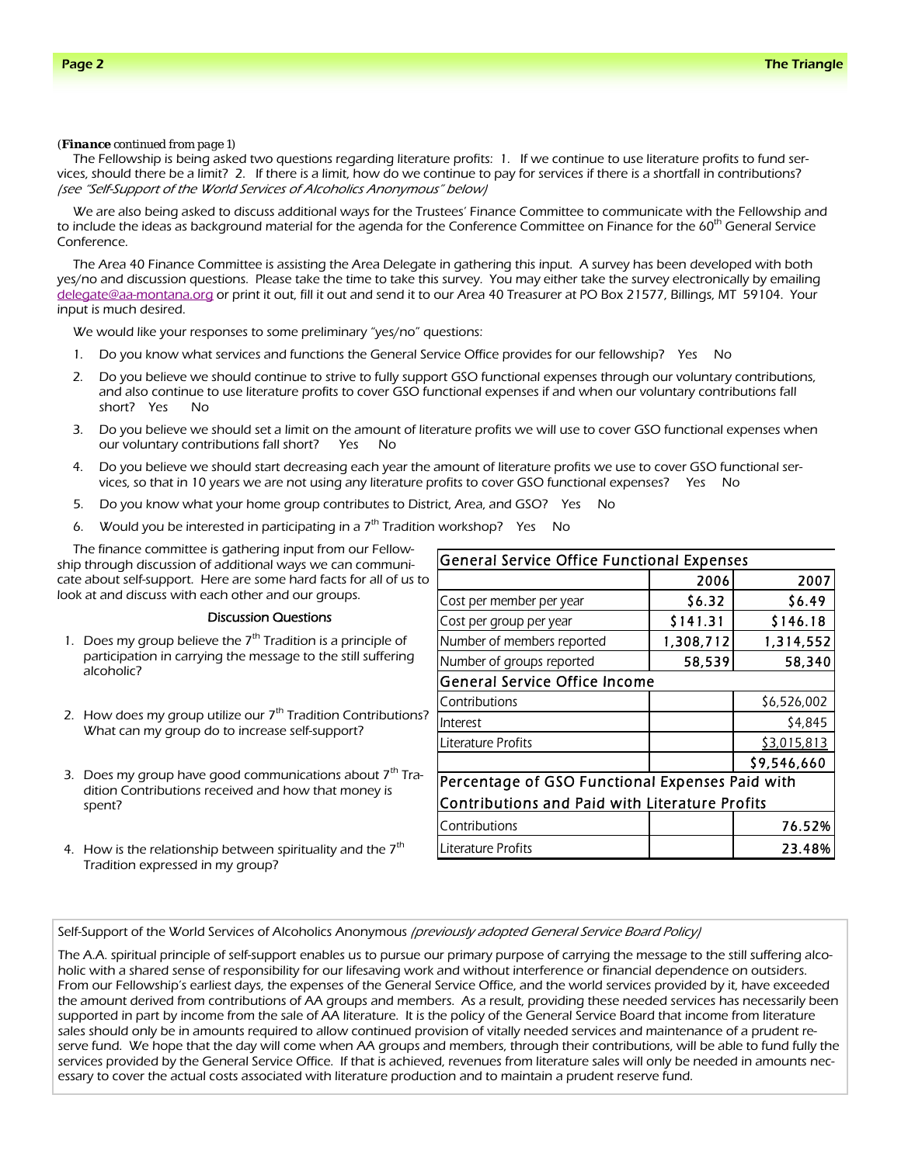#### *(Finance continued from page 1)*

The Fellowship is being asked two questions regarding literature profits: 1. If we continue to use literature profits to fund services, should there be a limit? 2. If there is a limit, how do we continue to pay for services if there is a shortfall in contributions? (see "Self-Support of the World Services of Alcoholics Anonymous" below)

We are also being asked to discuss additional ways for the Trustees' Finance Committee to communicate with the Fellowship and to include the ideas as background material for the agenda for the Conference Committee on Finance for the 60<sup>th</sup> General Service Conference.

The Area 40 Finance Committee is assisting the Area Delegate in gathering this input. A survey has been developed with both yes/no and discussion questions. Please take the time to take this survey. You may either take the survey electronically by emailing delegate@aa-montana.org or print it out, fill it out and send it to our Area 40 Treasurer at PO Box 21577, Billings, MT 59104. Your input is much desired.

We would like your responses to some preliminary "yes/no" questions:

- 1. Do you know what services and functions the General Service Office provides for our fellowship? Yes No
- 2. Do you believe we should continue to strive to fully support GSO functional expenses through our voluntary contributions, and also continue to use literature profits to cover GSO functional expenses if and when our voluntary contributions fall short? Yes No
- 3. Do you believe we should set a limit on the amount of literature profits we will use to cover GSO functional expenses when our voluntary contributions fall short? Yes No
- 4. Do you believe we should start decreasing each year the amount of literature profits we use to cover GSO functional services, so that in 10 years we are not using any literature profits to cover GSO functional expenses? Yes No
- 5. Do you know what your home group contributes to District, Area, and GSO? Yes No
- 6. Would you be interested in participating in a  $7<sup>th</sup>$  Tradition workshop? Yes No

The finance committee is gathering input from our Fellowship through discussion of additional ways we can communicate about self-support. Here are some hard facts for all of us to look at and discuss with each other and our groups.

#### Discussion Questions

- 1. Does my group believe the  $7<sup>th</sup>$  Tradition is a principle of participation in carrying the message to the still suffering alcoholic?
- 2. How does my group utilize our  $7<sup>th</sup>$  Tradition Contributions? What can my group do to increase self-support?
- 3. Does my group have good communications about  $7<sup>th</sup>$  Tradition Contributions received and how that money is spent?
- 4. How is the relationship between spirituality and the  $7<sup>th</sup>$ Tradition expressed in my group?

| General Service Office Functional Expenses            |           |             |  |
|-------------------------------------------------------|-----------|-------------|--|
|                                                       | 2006      | 2007        |  |
| Cost per member per year                              | \$6.32    | \$6.49      |  |
| Cost per group per year                               | \$141.31  | \$146.18    |  |
| Number of members reported                            | 1,308,712 | 1,314,552   |  |
| Number of groups reported                             | 58,539    | 58,340      |  |
| <b>General Service Office Income</b>                  |           |             |  |
| Contributions                                         |           | \$6,526,002 |  |
| Interest                                              |           | \$4,845     |  |
| Literature Profits                                    |           | \$3,015,813 |  |
|                                                       |           | \$9,546,660 |  |
| Percentage of GSO Functional Expenses Paid with       |           |             |  |
| <b>Contributions and Paid with Literature Profits</b> |           |             |  |
| Contributions                                         |           | 76.52%      |  |
| Literature Profits                                    |           | 23.48%      |  |

Self-Support of the World Services of Alcoholics Anonymous (previously adopted General Service Board Policy)

The A.A. spiritual principle of self-support enables us to pursue our primary purpose of carrying the message to the still suffering alcoholic with a shared sense of responsibility for our lifesaving work and without interference or financial dependence on outsiders. From our Fellowship's earliest days, the expenses of the General Service Office, and the world services provided by it, have exceeded the amount derived from contributions of AA groups and members. As a result, providing these needed services has necessarily been supported in part by income from the sale of AA literature. It is the policy of the General Service Board that income from literature sales should only be in amounts required to allow continued provision of vitally needed services and maintenance of a prudent reserve fund. We hope that the day will come when AA groups and members, through their contributions, will be able to fund fully the services provided by the General Service Office. If that is achieved, revenues from literature sales will only be needed in amounts necessary to cover the actual costs associated with literature production and to maintain a prudent reserve fund.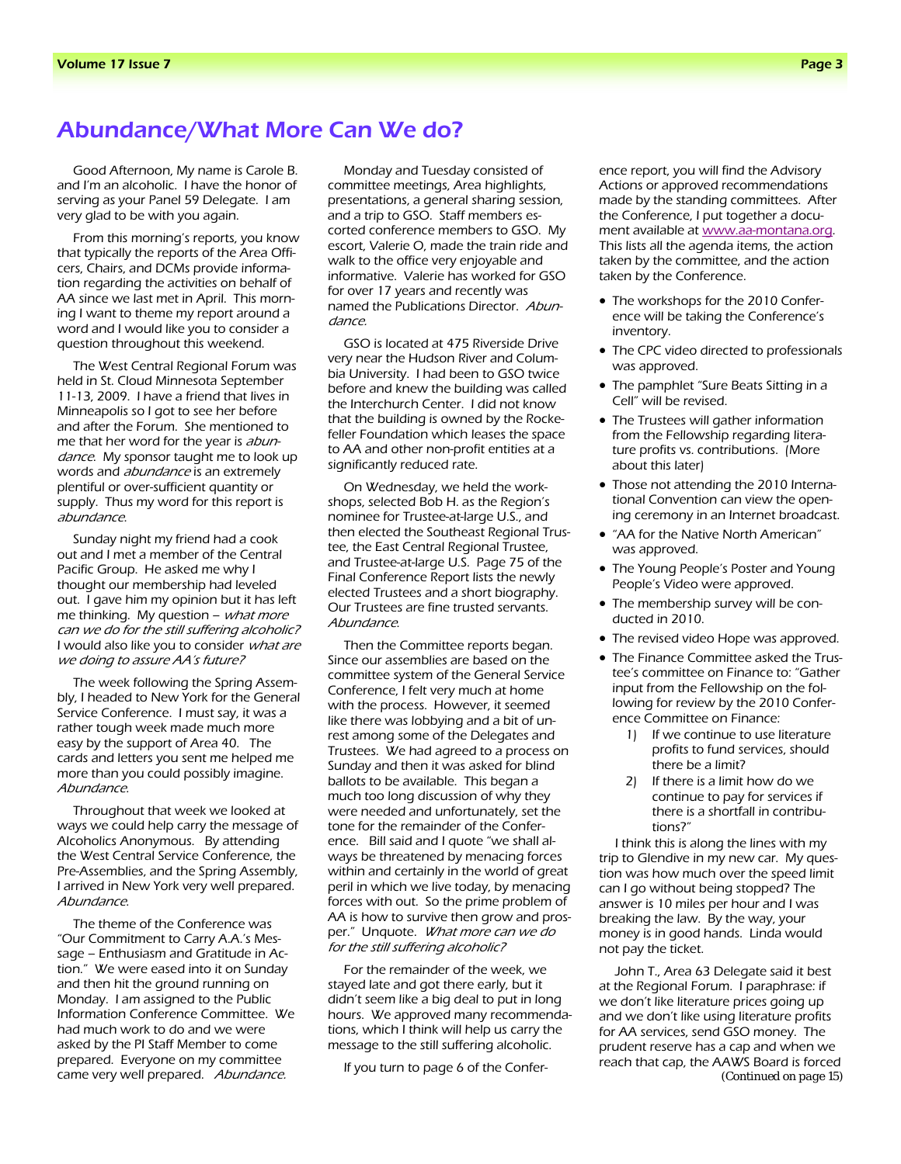## Abundance/What More Can We do?

Good Afternoon, My name is Carole B. and I'm an alcoholic. I have the honor of serving as your Panel 59 Delegate. I am very glad to be with you again.

From this morning's reports, you know that typically the reports of the Area Officers, Chairs, and DCMs provide information regarding the activities on behalf of AA since we last met in April. This morning I want to theme my report around a word and I would like you to consider a question throughout this weekend.

The West Central Regional Forum was held in St. Cloud Minnesota September 11-13, 2009. I have a friend that lives in Minneapolis so I got to see her before and after the Forum. She mentioned to me that her word for the year is *abun*dance. My sponsor taught me to look up words and *abundance* is an extremely plentiful or over-sufficient quantity or supply. Thus my word for this report is abundance.

Sunday night my friend had a cook out and I met a member of the Central Pacific Group. He asked me why I thought our membership had leveled out. I gave him my opinion but it has left me thinking. My question – *what more* can we do for the still suffering alcoholic? I would also like you to consider what are we doing to assure AA's future?

The week following the Spring Assembly, I headed to New York for the General Service Conference. I must say, it was a rather tough week made much more easy by the support of Area 40. The cards and letters you sent me helped me more than you could possibly imagine. Abundance.

Throughout that week we looked at ways we could help carry the message of Alcoholics Anonymous. By attending the West Central Service Conference, the Pre-Assemblies, and the Spring Assembly, I arrived in New York very well prepared. Abundance.

The theme of the Conference was "Our Commitment to Carry A.A.'s Message – Enthusiasm and Gratitude in Action." We were eased into it on Sunday and then hit the ground running on Monday. I am assigned to the Public Information Conference Committee. We had much work to do and we were asked by the PI Staff Member to come prepared. Everyone on my committee came very well prepared. Abundance.

Monday and Tuesday consisted of committee meetings, Area highlights, presentations, a general sharing session, and a trip to GSO. Staff members escorted conference members to GSO. My escort, Valerie O, made the train ride and walk to the office very enjoyable and informative. Valerie has worked for GSO for over 17 years and recently was named the Publications Director. Abundance.

GSO is located at 475 Riverside Drive very near the Hudson River and Columbia University. I had been to GSO twice before and knew the building was called the Interchurch Center. I did not know that the building is owned by the Rockefeller Foundation which leases the space to AA and other non-profit entities at a significantly reduced rate.

On Wednesday, we held the workshops, selected Bob H. as the Region's nominee for Trustee-at-large U.S., and then elected the Southeast Regional Trustee, the East Central Regional Trustee, and Trustee-at-large U.S. Page 75 of the Final Conference Report lists the newly elected Trustees and a short biography. Our Trustees are fine trusted servants. Abundance.

Then the Committee reports began. Since our assemblies are based on the committee system of the General Service Conference, I felt very much at home with the process. However, it seemed like there was lobbying and a bit of unrest among some of the Delegates and Trustees. We had agreed to a process on Sunday and then it was asked for blind ballots to be available. This began a much too long discussion of why they were needed and unfortunately, set the tone for the remainder of the Conference. Bill said and I quote "we shall always be threatened by menacing forces within and certainly in the world of great peril in which we live today, by menacing forces with out. So the prime problem of AA is how to survive then grow and prosper." Unquote. What more can we do for the still suffering alcoholic?

For the remainder of the week, we stayed late and got there early, but it didn't seem like a big deal to put in long hours. We approved many recommendations, which I think will help us carry the message to the still suffering alcoholic.

If you turn to page 6 of the Confer-

ence report, you will find the Advisory Actions or approved recommendations made by the standing committees. After the Conference, I put together a document available at www.aa-montana.org. This lists all the agenda items, the action taken by the committee, and the action taken by the Conference.

- The workshops for the 2010 Conference will be taking the Conference's inventory.
- The CPC video directed to professionals was approved.
- The pamphlet "Sure Beats Sitting in a Cell" will be revised.
- The Trustees will gather information from the Fellowship regarding literature profits vs. contributions. (More about this later)
- Those not attending the 2010 International Convention can view the opening ceremony in an Internet broadcast.
- "AA for the Native North American" was approved.
- The Young People's Poster and Young People's Video were approved.
- The membership survey will be conducted in 2010.
- The revised video Hope was approved.
- The Finance Committee asked the Trustee's committee on Finance to: "Gather input from the Fellowship on the following for review by the 2010 Conference Committee on Finance:
	- 1) If we continue to use literature profits to fund services, should there be a limit?
	- 2) If there is a limit how do we continue to pay for services if there is a shortfall in contributions?"

I think this is along the lines with my trip to Glendive in my new car. My question was how much over the speed limit can I go without being stopped? The answer is 10 miles per hour and I was breaking the law. By the way, your money is in good hands. Linda would not pay the ticket.

John T., Area 63 Delegate said it best at the Regional Forum. I paraphrase: if we don't like literature prices going up and we don't like using literature profits for AA services, send GSO money. The prudent reserve has a cap and when we reach that cap, the AAWS Board is forced *(Continued on page 15)*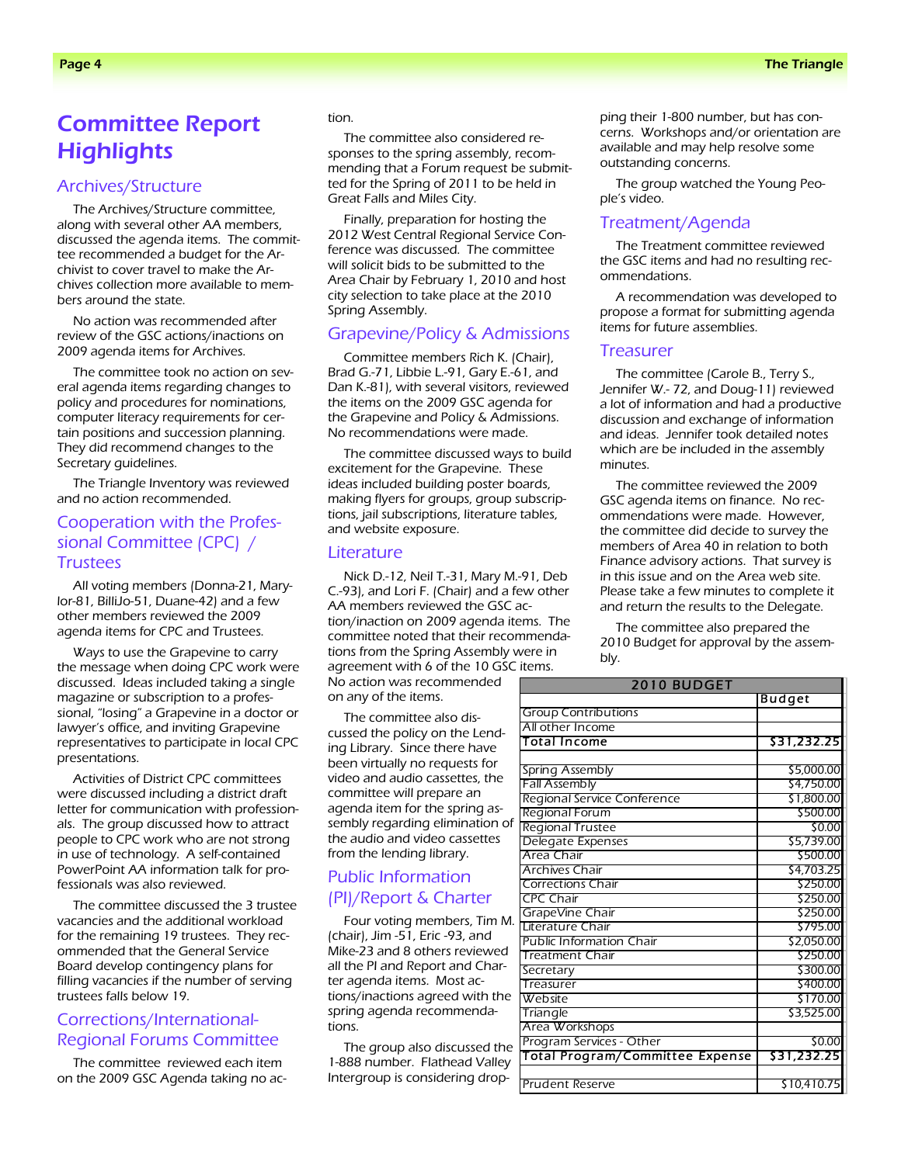# Committee Report **Highlights**

### Archives/Structure

The Archives/Structure committee, along with several other AA members, discussed the agenda items. The committee recommended a budget for the Archivist to cover travel to make the Archives collection more available to members around the state.

No action was recommended after review of the GSC actions/inactions on 2009 agenda items for Archives.

The committee took no action on several agenda items regarding changes to policy and procedures for nominations, computer literacy requirements for certain positions and succession planning. They did recommend changes to the Secretary guidelines.

The Triangle Inventory was reviewed and no action recommended.

### Cooperation with the Professional Committee (CPC) / **Trustees**

All voting members (Donna-21, Marylor-81, BilliJo-51, Duane-42) and a few other members reviewed the 2009 agenda items for CPC and Trustees.

Ways to use the Grapevine to carry the message when doing CPC work were discussed. Ideas included taking a single magazine or subscription to a professional, "losing" a Grapevine in a doctor or lawyer's office, and inviting Grapevine representatives to participate in local CPC presentations.

Activities of District CPC committees were discussed including a district draft letter for communication with professionals. The group discussed how to attract people to CPC work who are not strong in use of technology. A self-contained PowerPoint AA information talk for professionals was also reviewed.

The committee discussed the 3 trustee vacancies and the additional workload for the remaining 19 trustees. They recommended that the General Service Board develop contingency plans for filling vacancies if the number of serving trustees falls below 19.

### Corrections/International-Regional Forums Committee

The committee reviewed each item on the 2009 GSC Agenda taking no ac-

#### tion.

The committee also considered responses to the spring assembly, recommending that a Forum request be submitted for the Spring of 2011 to be held in Great Falls and Miles City.

Finally, preparation for hosting the 2012 West Central Regional Service Conference was discussed. The committee will solicit bids to be submitted to the Area Chair by February 1, 2010 and host city selection to take place at the 2010 Spring Assembly.

### Grapevine/Policy & Admissions

Committee members Rich K. (Chair), Brad G.-71, Libbie L.-91, Gary E.-61, and Dan K.-81), with several visitors, reviewed the items on the 2009 GSC agenda for the Grapevine and Policy & Admissions. No recommendations were made.

The committee discussed ways to build excitement for the Grapevine. These ideas included building poster boards, making flyers for groups, group subscriptions, jail subscriptions, literature tables, and website exposure.

#### Literature

Nick D.-12, Neil T.-31, Mary M.-91, Deb C.-93), and Lori F. (Chair) and a few other AA members reviewed the GSC action/inaction on 2009 agenda items. The committee noted that their recommendations from the Spring Assembly were in agreement with 6 of the 10 GSC items. No action was recommended on any of the items.

The committee also discussed the policy on the Lending Library. Since there have been virtually no requests for video and audio cassettes, the committee will prepare an agenda item for the spring assembly regarding elimination of the audio and video cassettes from the lending library.

### Public Information (PI)/Report & Charter

Four voting members, Tim M. (chair), Jim -51, Eric -93, and Mike-23 and 8 others reviewed all the PI and Report and Charter agenda items. Most actions/inactions agreed with the spring agenda recommendations.

The group also discussed the 1-888 number. Flathead Valley Intergroup is considering drop-

ping their 1-800 number, but has concerns. Workshops and/or orientation are available and may help resolve some outstanding concerns.

The group watched the Young People's video.

#### Treatment/Agenda

The Treatment committee reviewed the GSC items and had no resulting recommendations.

A recommendation was developed to propose a format for submitting agenda items for future assemblies.

#### **Treasurer**

The committee (Carole B., Terry S., Jennifer W.- 72, and Doug-11) reviewed a lot of information and had a productive discussion and exchange of information and ideas. Jennifer took detailed notes which are be included in the assembly minutes.

The committee reviewed the 2009 GSC agenda items on finance. No recommendations were made. However, the committee did decide to survey the members of Area 40 in relation to both Finance advisory actions. That survey is in this issue and on the Area web site. Please take a few minutes to complete it and return the results to the Delegate.

The committee also prepared the 2010 Budget for approval by the assembly.

| <b>2010 BUDGET</b>                     |               |  |
|----------------------------------------|---------------|--|
|                                        | <b>Budget</b> |  |
| <b>Group Contributions</b>             |               |  |
| All other Income                       |               |  |
| <b>Total Income</b>                    | \$31,232.25   |  |
|                                        |               |  |
| Spring Assembly                        | \$5,000.00    |  |
| <b>Fall Assembly</b>                   | \$4,750.00    |  |
| Regional Service Conference            | \$1,800.00    |  |
| <b>Regional Forum</b>                  | \$500.00      |  |
| Regional Trustee                       | \$0.00        |  |
| Delegate Expenses                      | \$5,739.00    |  |
| Area Chair                             | \$500.00      |  |
| <b>Archives Chair</b>                  | \$4,703.25    |  |
| <b>Corrections Chair</b>               | \$250.00      |  |
| <b>CPC Chair</b>                       | \$250.00      |  |
| GrapeVine Chair                        | \$250.00      |  |
| Literature Chair                       | \$795.00      |  |
| <b>Public Information Chair</b>        | \$2,050.00    |  |
| <b>Treatment Chair</b>                 | \$250.00      |  |
| Secretary                              | \$300.00      |  |
| Treasurer                              | \$400.00      |  |
| Website                                | \$170.00      |  |
| Triangle                               | \$3,525.00    |  |
| Area Workshops                         |               |  |
| Program Services - Other               | \$0.00        |  |
| <b>Total Program/Committee Expense</b> | \$31,232.25   |  |
|                                        |               |  |
| <b>Prudent Reserve</b>                 | \$10,410.75   |  |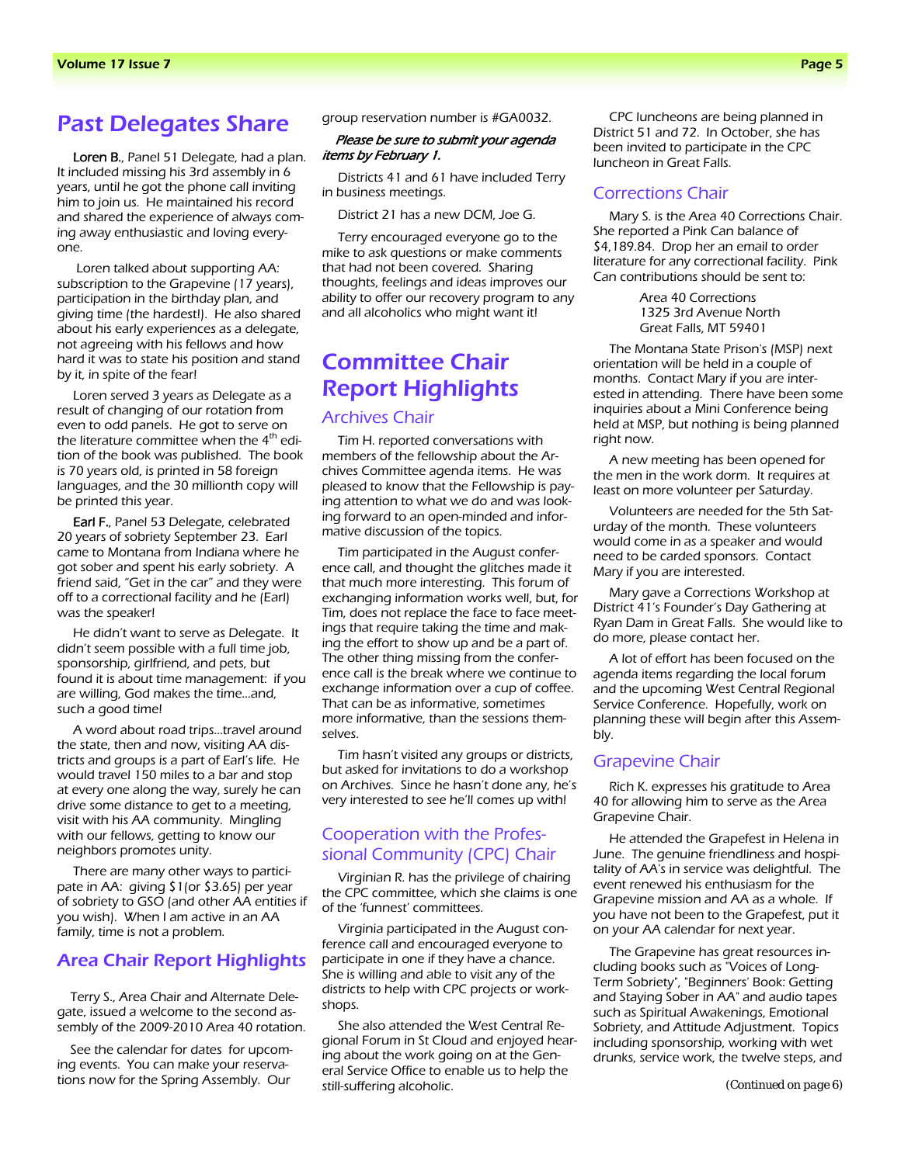## Past Delegates Share group reservation number is #GA0032.

Loren B., Panel 51 Delegate, had a plan. It included missing his 3rd assembly in 6 years, until he got the phone call inviting him to join us. He maintained his record and shared the experience of always coming away enthusiastic and loving everyone.

 Loren talked about supporting AA: subscription to the Grapevine (17 years), participation in the birthday plan, and giving time (the hardest!). He also shared about his early experiences as a delegate, not agreeing with his fellows and how hard it was to state his position and stand by it, in spite of the fear!

Loren served 3 years as Delegate as a result of changing of our rotation from even to odd panels. He got to serve on the literature committee when the  $4<sup>th</sup>$  edition of the book was published. The book is 70 years old, is printed in 58 foreign languages, and the 30 millionth copy will be printed this year.

Earl F., Panel 53 Delegate, celebrated 20 years of sobriety September 23. Earl came to Montana from Indiana where he got sober and spent his early sobriety. A friend said, "Get in the car" and they were off to a correctional facility and he (Earl) was the speaker!

He didn't want to serve as Delegate. It didn't seem possible with a full time job, sponsorship, girlfriend, and pets, but found it is about time management: if you are willing, God makes the time…and, such a good time!

A word about road trips…travel around the state, then and now, visiting AA districts and groups is a part of Earl's life. He would travel 150 miles to a bar and stop at every one along the way, surely he can drive some distance to get to a meeting, visit with his AA community. Mingling with our fellows, getting to know our neighbors promotes unity.

There are many other ways to participate in AA: giving \$1(or \$3.65) per year of sobriety to GSO (and other AA entities if you wish). When I am active in an AA family, time is not a problem.

### Area Chair Report Highlights

Terry S., Area Chair and Alternate Delegate, issued a welcome to the second assembly of the 2009-2010 Area 40 rotation.

See the calendar for dates for upcoming events. You can make your reservations now for the Spring Assembly. Our

#### Please be sure to submit your agenda items by February 1.

Districts 41 and 61 have included Terry in business meetings.

District 21 has a new DCM, Joe G.

Terry encouraged everyone go to the mike to ask questions or make comments that had not been covered. Sharing thoughts, feelings and ideas improves our ability to offer our recovery program to any and all alcoholics who might want it!

# Committee Chair Report Highlights

### Archives Chair

Tim H. reported conversations with members of the fellowship about the Archives Committee agenda items. He was pleased to know that the Fellowship is paying attention to what we do and was looking forward to an open-minded and informative discussion of the topics.

Tim participated in the August conference call, and thought the glitches made it that much more interesting. This forum of exchanging information works well, but, for Tim, does not replace the face to face meetings that require taking the time and making the effort to show up and be a part of. The other thing missing from the conference call is the break where we continue to exchange information over a cup of coffee. That can be as informative, sometimes more informative, than the sessions themselves.

Tim hasn't visited any groups or districts, but asked for invitations to do a workshop on Archives. Since he hasn't done any, he's very interested to see he'll comes up with!

### Cooperation with the Professional Community (CPC) Chair

Virginian R. has the privilege of chairing the CPC committee, which she claims is one of the 'funnest' committees.

Virginia participated in the August conference call and encouraged everyone to participate in one if they have a chance. She is willing and able to visit any of the districts to help with CPC projects or workshops.

She also attended the West Central Regional Forum in St Cloud and enjoyed hearing about the work going on at the General Service Office to enable us to help the still-suffering alcoholic.

CPC luncheons are being planned in District 51 and 72. In October, she has been invited to participate in the CPC luncheon in Great Falls.

#### Corrections Chair

Mary S. is the Area 40 Corrections Chair. She reported a Pink Can balance of \$4,189.84. Drop her an email to order literature for any correctional facility. Pink Can contributions should be sent to:

> Area 40 Corrections 1325 3rd Avenue North Great Falls, MT 59401

The Montana State Prison's (MSP) next orientation will be held in a couple of months. Contact Mary if you are interested in attending. There have been some inquiries about a Mini Conference being held at MSP, but nothing is being planned right now.

A new meeting has been opened for the men in the work dorm. It requires at least on more volunteer per Saturday.

Volunteers are needed for the 5th Saturday of the month. These volunteers would come in as a speaker and would need to be carded sponsors. Contact Mary if you are interested.

Mary gave a Corrections Workshop at District 41's Founder's Day Gathering at Ryan Dam in Great Falls. She would like to do more, please contact her.

A lot of effort has been focused on the agenda items regarding the local forum and the upcoming West Central Regional Service Conference. Hopefully, work on planning these will begin after this Assembly.

#### Grapevine Chair

Rich K. expresses his gratitude to Area 40 for allowing him to serve as the Area Grapevine Chair.

He attended the Grapefest in Helena in June. The genuine friendliness and hospitality of AA's in service was delightful. The event renewed his enthusiasm for the Grapevine mission and AA as a whole. If you have not been to the Grapefest, put it on your AA calendar for next year.

The Grapevine has great resources including books such as "Voices of Long-Term Sobriety", "Beginners' Book: Getting and Staying Sober in AA" and audio tapes such as Spiritual Awakenings, Emotional Sobriety, and Attitude Adjustment. Topics including sponsorship, working with wet drunks, service work, the twelve steps, and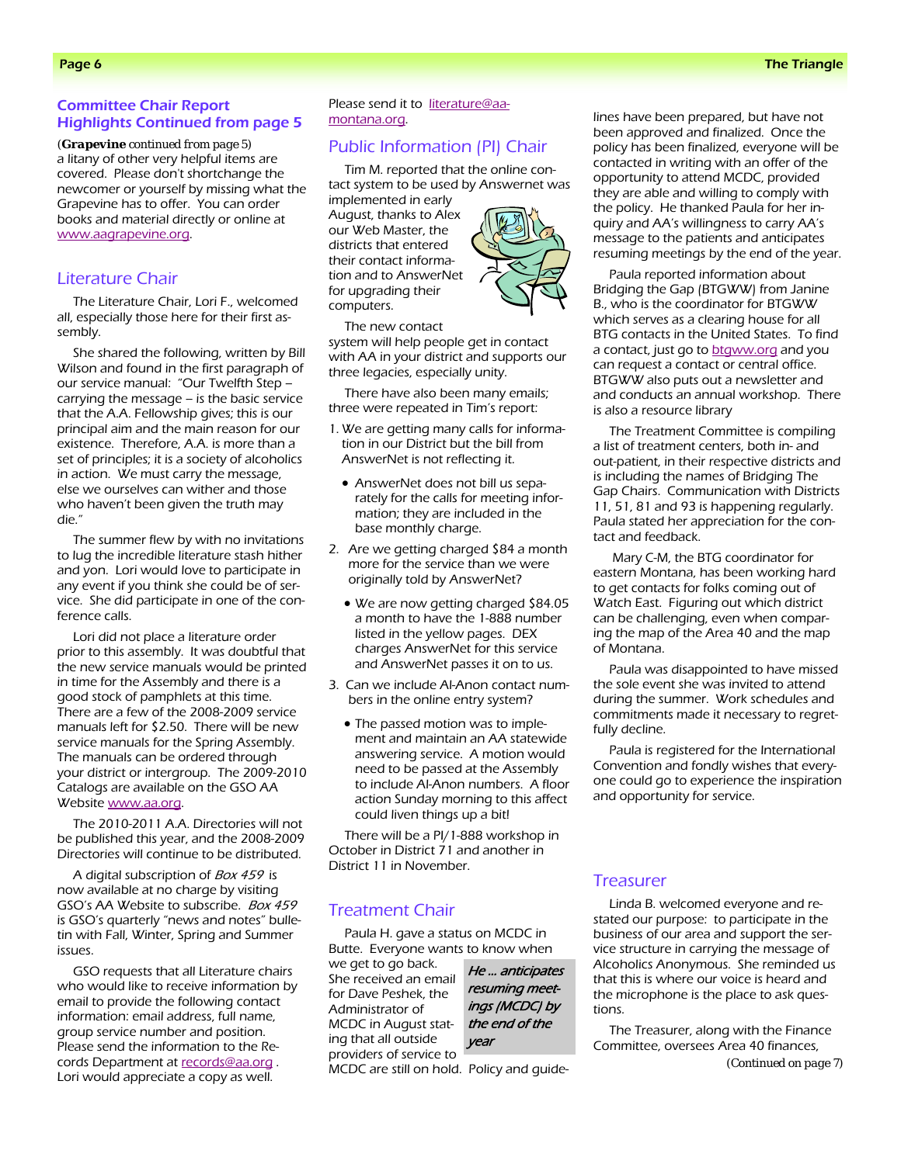### Committee Chair Report Highlights Continued from page 5

a litany of other very helpful items are covered. Please don't shortchange the newcomer or yourself by missing what the Grapevine has to offer. You can order books and material directly or online at www.aagrapevine.org. *(Grapevine continued from page 5)* 

### Literature Chair

The Literature Chair, Lori F., welcomed all, especially those here for their first assembly.

She shared the following, written by Bill Wilson and found in the first paragraph of our service manual: "Our Twelfth Step – carrying the message – is the basic service that the A.A. Fellowship gives; this is our principal aim and the main reason for our existence. Therefore, A.A. is more than a set of principles; it is a society of alcoholics in action. We must carry the message, else we ourselves can wither and those who haven't been given the truth may die."

The summer flew by with no invitations to lug the incredible literature stash hither and yon. Lori would love to participate in any event if you think she could be of service. She did participate in one of the conference calls.

Lori did not place a literature order prior to this assembly. It was doubtful that the new service manuals would be printed in time for the Assembly and there is a good stock of pamphlets at this time. There are a few of the 2008-2009 service manuals left for \$2.50. There will be new service manuals for the Spring Assembly. The manuals can be ordered through your district or intergroup. The 2009-2010 Catalogs are available on the GSO AA Website www.aa.org.

The 2010-2011 A.A. Directories will not be published this year, and the 2008-2009 Directories will continue to be distributed.

A digital subscription of Box 459 is now available at no charge by visiting GSO's AA Website to subscribe. Box 459 is GSO's quarterly "news and notes" bulletin with Fall, Winter, Spring and Summer issues.

GSO requests that all Literature chairs who would like to receive information by email to provide the following contact information: email address, full name, group service number and position. Please send the information to the Records Department at records@aa.org. Lori would appreciate a copy as well.

Please send it to literature@aamontana.org.

### Public Information (PI) Chair

Tim M. reported that the online contact system to be used by Answernet was

implemented in early August, thanks to Alex our Web Master, the districts that entered their contact information and to AnswerNet for upgrading their computers.

The new contact system will help people get in contact with AA in your district and supports our three legacies, especially unity.

There have also been many emails; three were repeated in Tim's report:

- 1. We are getting many calls for information in our District but the bill from AnswerNet is not reflecting it.
	- AnswerNet does not bill us separately for the calls for meeting information; they are included in the base monthly charge.
- 2. Are we getting charged \$84 a month more for the service than we were originally told by AnswerNet?
	- We are now getting charged \$84.05 a month to have the 1-888 number listed in the yellow pages. DEX charges AnswerNet for this service and AnswerNet passes it on to us.
- 3. Can we include Al-Anon contact numbers in the online entry system?
	- The passed motion was to implement and maintain an AA statewide answering service. A motion would need to be passed at the Assembly to include Al-Anon numbers. A floor action Sunday morning to this affect could liven things up a bit!

There will be a PI/1-888 workshop in October in District 71 and another in District 11 in November.

### Treatment Chair

Paula H. gave a status on MCDC in Butte. Everyone wants to know when

we get to go back. She received an email for Dave Peshek, the Administrator of MCDC in August stating that all outside providers of service to

He … anticipates resuming meetings (MCDC) by the end of the year

MCDC are still on hold. Policy and guide-

lines have been prepared, but have not been approved and finalized. Once the policy has been finalized, everyone will be contacted in writing with an offer of the opportunity to attend MCDC, provided they are able and willing to comply with the policy. He thanked Paula for her inquiry and AA's willingness to carry AA's message to the patients and anticipates resuming meetings by the end of the year.

Paula reported information about Bridging the Gap (BTGWW) from Janine B., who is the coordinator for BTGWW which serves as a clearing house for all BTG contacts in the United States. To find a contact, just go to **btgww.org** and you can request a contact or central office. BTGWW also puts out a newsletter and and conducts an annual workshop. There is also a resource library

The Treatment Committee is compiling a list of treatment centers, both in- and out-patient, in their respective districts and is including the names of Bridging The Gap Chairs. Communication with Districts 11, 51, 81 and 93 is happening regularly. Paula stated her appreciation for the contact and feedback.

 Mary C-M, the BTG coordinator for eastern Montana, has been working hard to get contacts for folks coming out of Watch East. Figuring out which district can be challenging, even when comparing the map of the Area 40 and the map of Montana.

Paula was disappointed to have missed the sole event she was invited to attend during the summer. Work schedules and commitments made it necessary to regretfully decline.

Paula is registered for the International Convention and fondly wishes that everyone could go to experience the inspiration and opportunity for service.

### **Treasurer**

Linda B. welcomed everyone and restated our purpose: to participate in the business of our area and support the service structure in carrying the message of Alcoholics Anonymous. She reminded us that this is where our voice is heard and the microphone is the place to ask questions.

The Treasurer, along with the Finance Committee, oversees Area 40 finances,

*(Continued on page 7)* 

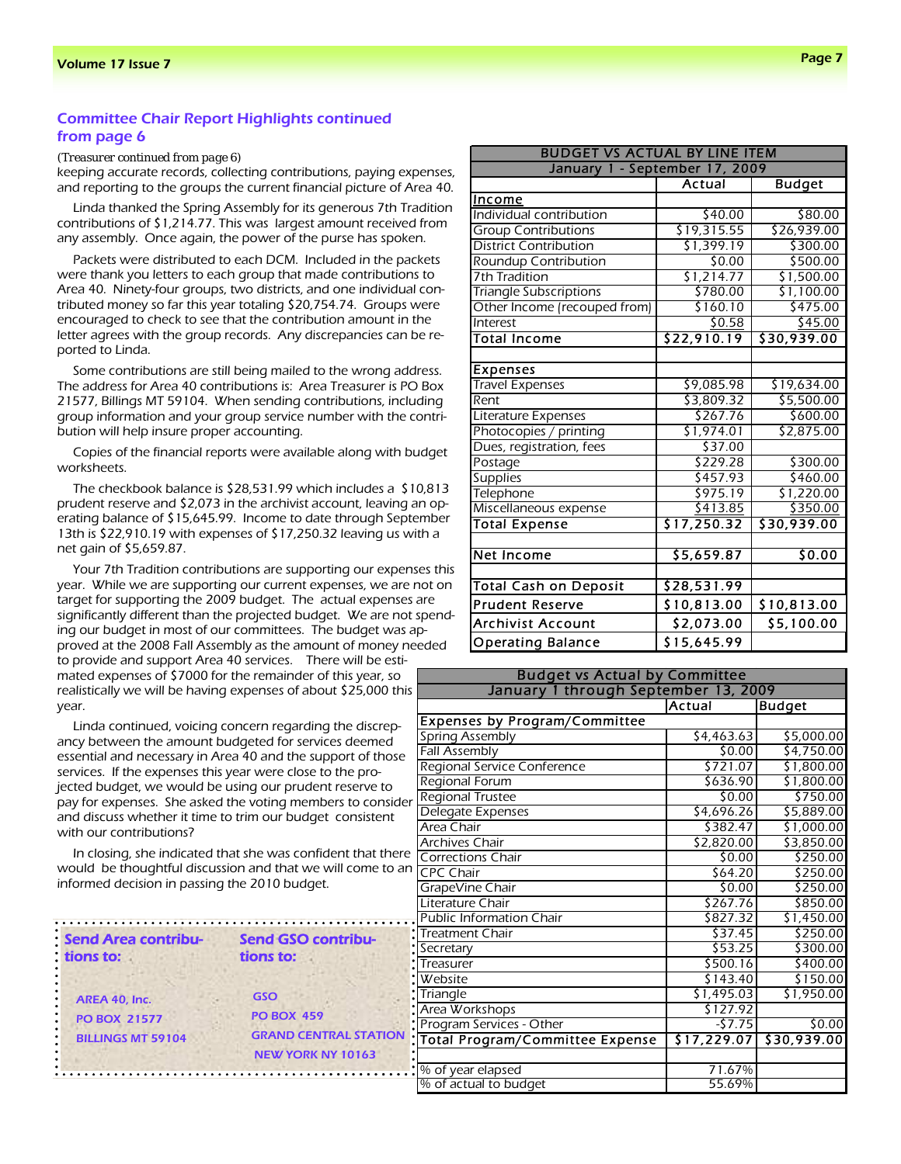### Committee Chair Report Highlights continued from page 6

*(Treasurer continued from page 6)* 

keeping accurate records, collecting contributions, paying expenses, and reporting to the groups the current financial picture of Area 40.

Linda thanked the Spring Assembly for its generous 7th Tradition contributions of \$1,214.77. This was largest amount received from any assembly. Once again, the power of the purse has spoken.

Packets were distributed to each DCM. Included in the packets were thank you letters to each group that made contributions to Area 40. Ninety-four groups, two districts, and one individual contributed money so far this year totaling \$20,754.74. Groups were encouraged to check to see that the contribution amount in the letter agrees with the group records. Any discrepancies can be reported to Linda.

Some contributions are still being mailed to the wrong address. The address for Area 40 contributions is: Area Treasurer is PO Box 21577, Billings MT 59104. When sending contributions, including group information and your group service number with the contribution will help insure proper accounting.

Copies of the financial reports were available along with budget worksheets.

The checkbook balance is \$28,531.99 which includes a \$10,813 prudent reserve and \$2,073 in the archivist account, leaving an operating balance of \$15,645.99. Income to date through September 13th is \$22,910.19 with expenses of \$17,250.32 leaving us with a net gain of \$5,659.87.

Your 7th Tradition contributions are supporting our expenses this year. While we are supporting our current expenses, we are not on target for supporting the 2009 budget. The actual expenses are significantly different than the projected budget. We are not spending our budget in most of our committees. The budget was approved at the 2008 Fall Assembly as the amount of money needed to provide and support Area 40 services. There will be esti-

mated expenses of \$7000 for the remainder of this year, so realistically we will be having expenses of about \$25,000 this year.

Linda continued, voicing concern regarding the discrepancy between the amount budgeted for services deemed essential and necessary in Area 40 and the support of those services. If the expenses this year were close to the projected budget, we would be using our prudent reserve to pay for expenses. She asked the voting members to consider and discuss whether it time to trim our budget consistent with our contributions?

In closing, she indicated that she was confident that there would be thoughtful discussion and that we will come to an informed decision in passing the 2010 budget.

| Send Area contribu-<br>tions to: | <b>Send GSO contribu-</b><br>tions to:                   |
|----------------------------------|----------------------------------------------------------|
| AREA 40, Inc.                    | GSO                                                      |
| <b>PO BOX 21577</b>              | <b>PO BOX 459</b>                                        |
| <b>BILLINGS MT 59104</b>         | <b>GRAND CENTRAL STATION</b><br><b>NEW YORK NY 10163</b> |

| <b>BUDGET VS ACTUAL BY LINE ITEM</b> |                 |                |
|--------------------------------------|-----------------|----------------|
| January 1 - September 17, 2009       |                 |                |
|                                      | Actual          | <b>Budget</b>  |
| <b>Income</b>                        |                 |                |
| Individual contribution              | \$40.00         | \$80.00        |
| <b>Group Contributions</b>           | \$19,315.55     | \$26,939.00    |
| <b>District Contribution</b>         | \$1,399.19      | \$300.00       |
| <b>Roundup Contribution</b>          | \$0.00          | \$500.00       |
| <b>7th Tradition</b>                 | \$1,214.77      | \$1,500.00     |
| <b>Triangle Subscriptions</b>        | \$780.00        | \$1,100.00     |
| Other Income (recouped from)         | \$160.10        | \$475.00       |
| Interest                             | 50.58           | $\sqrt{45.00}$ |
| <b>Total Income</b>                  | \$22,910.19     | \$30,939.00    |
|                                      |                 |                |
| <b>Expenses</b>                      |                 |                |
| <b>Travel Expenses</b>               | \$9,085.98      | \$19,634.00    |
| Rent                                 | \$3,809.32      | \$5,500.00     |
| Literature Expenses                  | \$267.76        | \$600.00       |
| Photocopies / printing               | \$1,974.01      | \$2,875.00     |
| Dues, registration, fees             | \$37.00         |                |
| Postage                              | \$229.28        | \$300.00       |
| <b>Supplies</b>                      | \$457.93        | \$460.00       |
| Telephone                            | \$975.19        | \$1,220.00     |
| Miscellaneous expense                | <u>\$413.85</u> | \$350.00       |
| <b>Total Expense</b>                 | \$17,250.32     | \$30,939.00    |
|                                      |                 |                |
| Net Income                           | \$5,659.87      | \$0.00         |
|                                      |                 |                |
| <b>Total Cash on Deposit</b>         | \$28,531.99     |                |
| <b>Prudent Reserve</b>               | \$10,813.00     | \$10,813.00    |
| Archivist Account                    | \$2,073.00      | \$5,100.00     |
| <b>Operating Balance</b>             | \$15,645.99     |                |

| <b>Budget vs Actual by Committee</b>   |             |               |
|----------------------------------------|-------------|---------------|
| January 1 through September 13, 2009   |             |               |
|                                        | Actual      | <b>Budget</b> |
| <b>Expenses by Program/Committee</b>   |             |               |
| <b>Spring Assembly</b>                 | \$4,463.63  | \$5,000.00    |
| <b>Fall Assembly</b>                   | \$0.00      | \$4,750.00    |
| Regional Service Conference            | \$721.07    | \$1,800.00    |
| <b>Regional Forum</b>                  | \$636.90    | \$1,800.00    |
| <b>Regional Trustee</b>                | \$0.00      | \$750.00      |
| Delegate Expenses                      | \$4,696.26  | \$5,889.00    |
| Area Chair                             | \$382.47    | \$1,000.00    |
| <b>Archives Chair</b>                  | \$2,820.00  | \$3,850.00    |
| <b>Corrections Chair</b>               | \$0.00      | \$250.00      |
| <b>CPC Chair</b>                       | \$64.20     | \$250.00      |
| GrapeVine Chair                        | \$0.00      | \$250.00      |
| Literature Chair                       | \$267.76    | \$850.00      |
| <b>Public Information Chair</b>        | \$827.32    | \$1,450.00    |
| <b>Treatment Chair</b>                 | \$37.45     | \$250.00      |
| Secretary                              | \$53.25     | \$300.00      |
| Treasurer                              | \$500.16    | \$400.00      |
| Website                                | \$143.40    | \$150.00      |
| Triangle                               | \$1,495.03  | \$1,950.00    |
| Area Workshops                         | \$127.92    |               |
| Program Services - Other               | $-57.75$    | \$0.00        |
| <b>Total Program/Committee Expense</b> | \$17,229.07 | \$30,939.00   |
|                                        |             |               |
| % of year elapsed                      | 71.67%      |               |
| % of actual to budget                  | 55.69%      |               |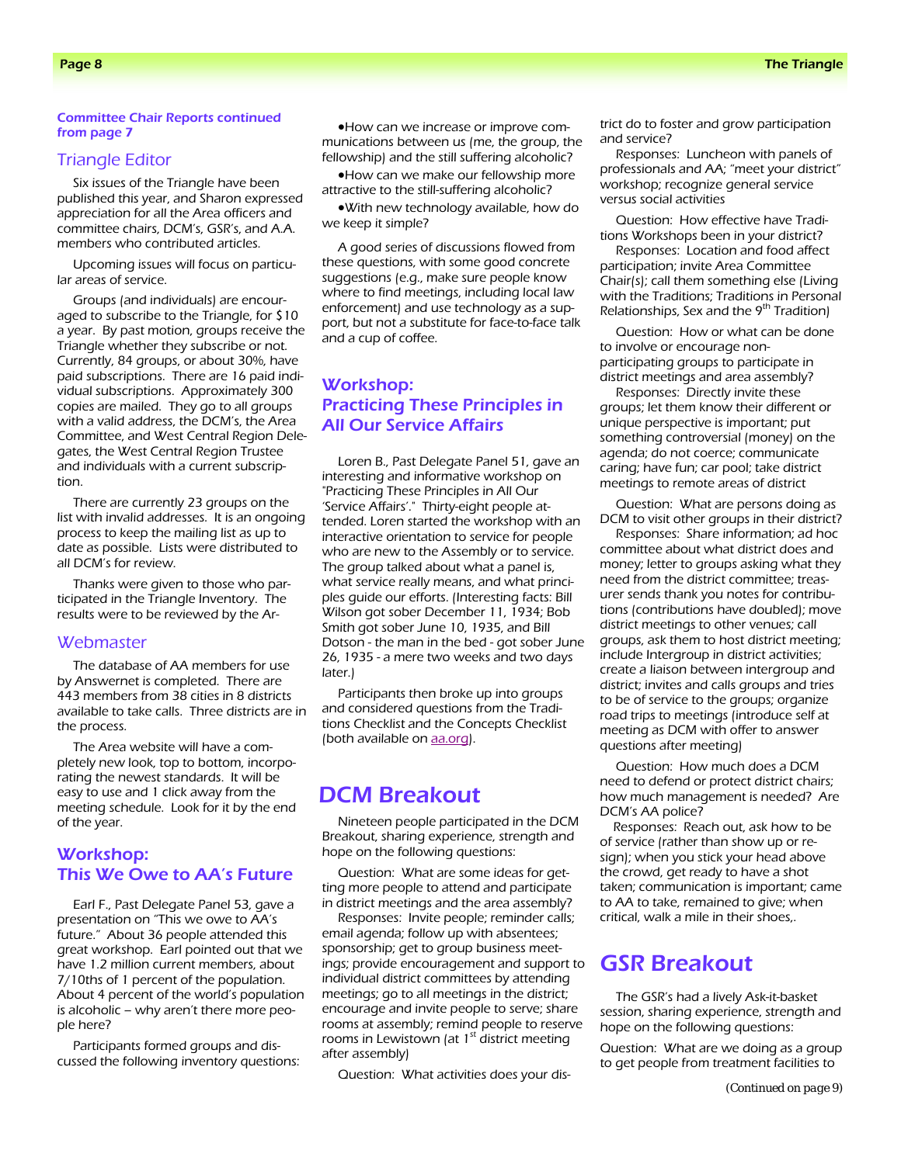#### Committee Chair Reports continued from page 7

### Triangle Editor

Six issues of the Triangle have been published this year, and Sharon expressed appreciation for all the Area officers and committee chairs, DCM's, GSR's, and A.A. members who contributed articles.

Upcoming issues will focus on particular areas of service.

Groups (and individuals) are encouraged to subscribe to the Triangle, for \$10 a year. By past motion, groups receive the Triangle whether they subscribe or not. Currently, 84 groups, or about 30%, have paid subscriptions. There are 16 paid individual subscriptions. Approximately 300 copies are mailed. They go to all groups with a valid address, the DCM's, the Area Committee, and West Central Region Delegates, the West Central Region Trustee and individuals with a current subscription.

There are currently 23 groups on the list with invalid addresses. It is an ongoing process to keep the mailing list as up to date as possible. Lists were distributed to all DCM's for review.

Thanks were given to those who participated in the Triangle Inventory. The results were to be reviewed by the Ar-

#### **Webmaster**

The database of AA members for use by Answernet is completed. There are 443 members from 38 cities in 8 districts available to take calls. Three districts are in the process.

The Area website will have a completely new look, top to bottom, incorporating the newest standards. It will be easy to use and 1 click away from the meeting schedule. Look for it by the end of the year.

### Workshop: This We Owe to AA's Future

Earl F., Past Delegate Panel 53, gave a presentation on "This we owe to AA's future." About 36 people attended this great workshop. Earl pointed out that we have 1.2 million current members, about 7/10ths of 1 percent of the population. About 4 percent of the world's population is alcoholic – why aren't there more people here?

Participants formed groups and discussed the following inventory questions:

•How can we increase or improve communications between us (me, the group, the fellowship) and the still suffering alcoholic?

•How can we make our fellowship more attractive to the still-suffering alcoholic?

•With new technology available, how do we keep it simple?

A good series of discussions flowed from these questions, with some good concrete suggestions (e.g., make sure people know where to find meetings, including local law enforcement) and use technology as a support, but not a substitute for face-to-face talk and a cup of coffee.

### Workshop: Practicing These Principles in All Our Service Affairs

Loren B., Past Delegate Panel 51, gave an interesting and informative workshop on "Practicing These Principles in All Our 'Service Affairs'." Thirty-eight people attended. Loren started the workshop with an interactive orientation to service for people who are new to the Assembly or to service. The group talked about what a panel is, what service really means, and what principles guide our efforts. (Interesting facts: Bill Wilson got sober December 11, 1934; Bob Smith got sober June 10, 1935, and Bill Dotson - the man in the bed - got sober June 26, 1935 - a mere two weeks and two days later.)

Participants then broke up into groups and considered questions from the Traditions Checklist and the Concepts Checklist (both available on **aa.org**).

### DCM Breakout

Nineteen people participated in the DCM Breakout, sharing experience, strength and hope on the following questions:

Question: What are some ideas for getting more people to attend and participate in district meetings and the area assembly?

Responses: Invite people; reminder calls; email agenda; follow up with absentees; sponsorship; get to group business meetings; provide encouragement and support to individual district committees by attending meetings; go to all meetings in the district; encourage and invite people to serve; share rooms at assembly; remind people to reserve rooms in Lewistown (at  $1<sup>st</sup>$  district meeting after assembly)

Question: What activities does your dis-

trict do to foster and grow participation and service?

Responses: Luncheon with panels of professionals and AA; "meet your district" workshop; recognize general service versus social activities

Question: How effective have Traditions Workshops been in your district?

Responses: Location and food affect participation; invite Area Committee Chair(s); call them something else (Living with the Traditions; Traditions in Personal Relationships, Sex and the  $9<sup>th</sup>$  Tradition)

Question: How or what can be done to involve or encourage nonparticipating groups to participate in district meetings and area assembly?

Responses: Directly invite these groups; let them know their different or unique perspective is important; put something controversial (money) on the agenda; do not coerce; communicate caring; have fun; car pool; take district meetings to remote areas of district

Question: What are persons doing as DCM to visit other groups in their district?

Responses: Share information; ad hoc committee about what district does and money; letter to groups asking what they need from the district committee; treasurer sends thank you notes for contributions (contributions have doubled); move district meetings to other venues; call groups, ask them to host district meeting; include Intergroup in district activities; create a liaison between intergroup and district; invites and calls groups and tries to be of service to the groups; organize road trips to meetings (introduce self at meeting as DCM with offer to answer questions after meeting)

Question: How much does a DCM need to defend or protect district chairs; how much management is needed? Are DCM's AA police?

Responses: Reach out, ask how to be of service (rather than show up or resign); when you stick your head above the crowd, get ready to have a shot taken; communication is important; came to AA to take, remained to give; when critical, walk a mile in their shoes,.

### GSR Breakout

The GSR's had a lively Ask-it-basket session, sharing experience, strength and hope on the following questions:

Question: What are we doing as a group to get people from treatment facilities to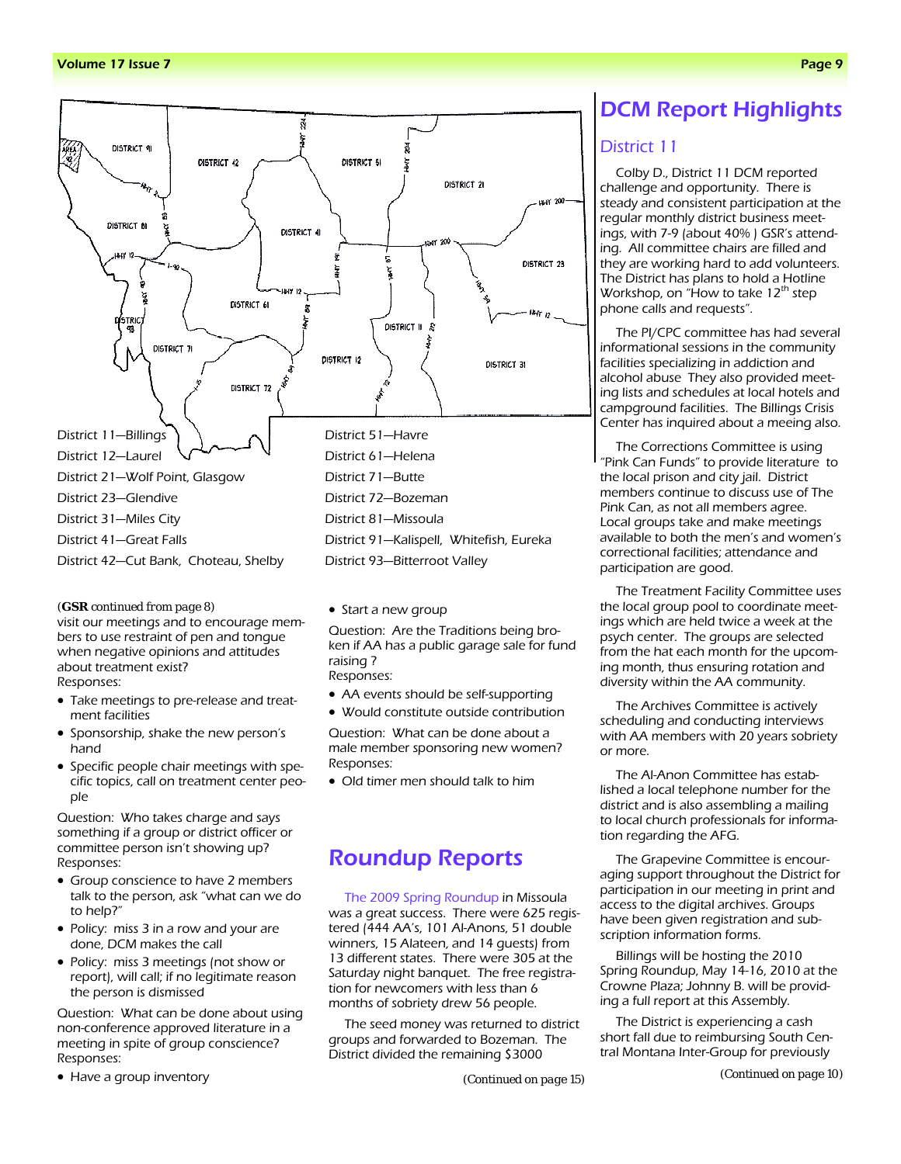

#### *(GSR continued from page 8)*

visit our meetings and to encourage members to use restraint of pen and tongue when negative opinions and attitudes about treatment exist? Responses:

- Take meetings to pre-release and treatment facilities
- Sponsorship, shake the new person's hand
- Specific people chair meetings with specific topics, call on treatment center people

Question: Who takes charge and says something if a group or district officer or committee person isn't showing up? Responses:

- Group conscience to have 2 members talk to the person, ask "what can we do to help?"
- Policy: miss 3 in a row and your are done, DCM makes the call
- Policy: miss 3 meetings (not show or report), will call; if no legitimate reason the person is dismissed

Question: What can be done about using non-conference approved literature in a meeting in spite of group conscience? Responses:

• Have a group inventory

• Start a new group

Question: Are the Traditions being broken if AA has a public garage sale for fund raising ? Responses:

- 
- AA events should be self-supporting • Would constitute outside contribution

Question: What can be done about a male member sponsoring new women? Responses:

• Old timer men should talk to him

### Roundup Reports

The 2009 Spring Roundup in Missoula was a great success. There were 625 registered (444 AA's, 101 Al-Anons, 51 double winners, 15 Alateen, and 14 guests) from 13 different states. There were 305 at the Saturday night banquet. The free registration for newcomers with less than 6 months of sobriety drew 56 people.

The seed money was returned to district groups and forwarded to Bozeman. The District divided the remaining \$3000

*(Continued on page 15)* 

### DCM Report Highlights

### District 11

Colby D., District 11 DCM reported challenge and opportunity. There is steady and consistent participation at the regular monthly district business meetings, with 7-9 (about 40% ) GSR's attending. All committee chairs are filled and they are working hard to add volunteers. The District has plans to hold a Hotline Workshop, on "How to take 12<sup>th</sup> step phone calls and requests".

The PI/CPC committee has had several informational sessions in the community facilities specializing in addiction and alcohol abuse They also provided meeting lists and schedules at local hotels and campground facilities. The Billings Crisis Center has inquired about a meeing also.

The Corrections Committee is using "Pink Can Funds" to provide literature to the local prison and city jail. District members continue to discuss use of The Pink Can, as not all members agree. Local groups take and make meetings available to both the men's and women's correctional facilities; attendance and participation are good.

The Treatment Facility Committee uses the local group pool to coordinate meetings which are held twice a week at the psych center. The groups are selected from the hat each month for the upcoming month, thus ensuring rotation and diversity within the AA community.

The Archives Committee is actively scheduling and conducting interviews with AA members with 20 years sobriety or more.

The Al-Anon Committee has established a local telephone number for the district and is also assembling a mailing to local church professionals for information regarding the AFG.

The Grapevine Committee is encouraging support throughout the District for participation in our meeting in print and access to the digital archives. Groups have been given registration and subscription information forms.

Billings will be hosting the 2010 Spring Roundup, May 14-16, 2010 at the Crowne Plaza; Johnny B. will be providing a full report at this Assembly.

The District is experiencing a cash short fall due to reimbursing South Central Montana Inter-Group for previously

*(Continued on page 10)*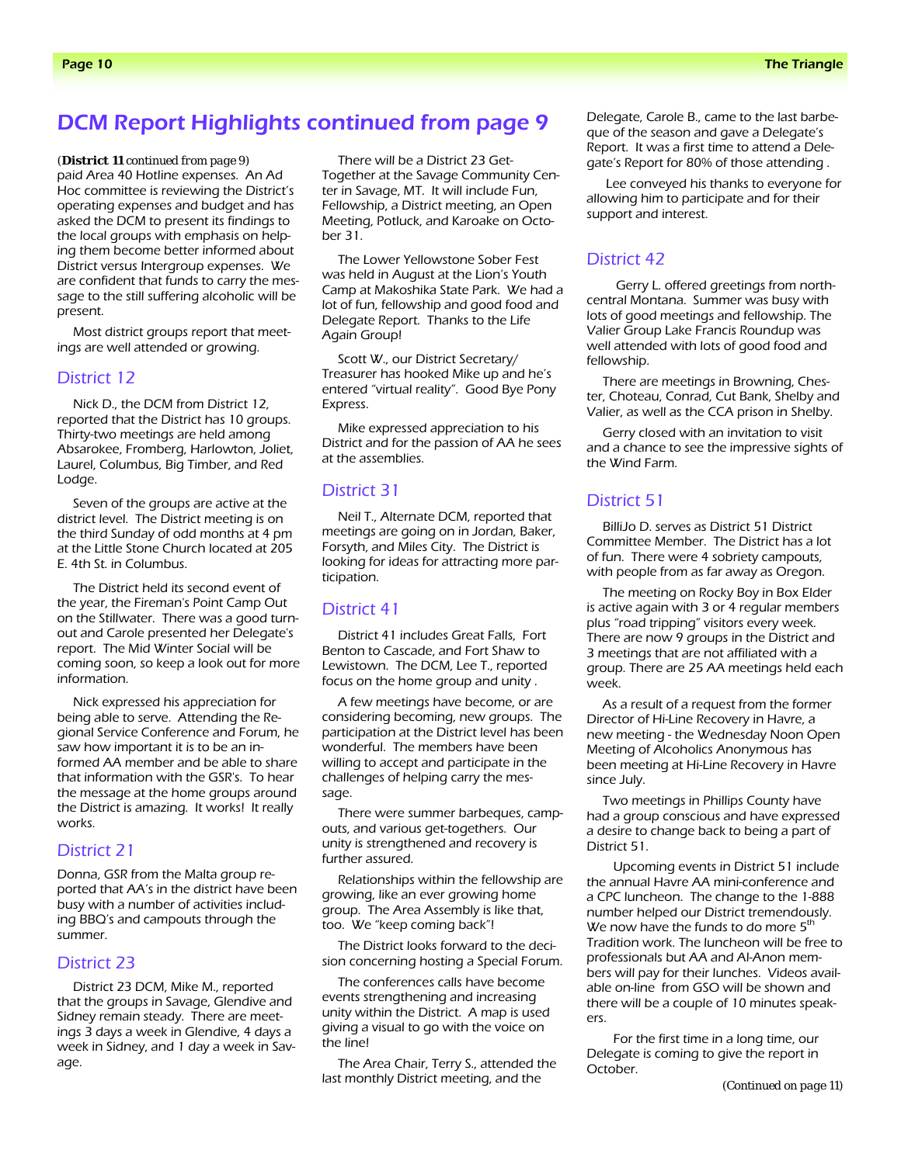### DCM Report Highlights continued from page 9

paid Area 40 Hotline expenses. An Ad Hoc committee is reviewing the District's operating expenses and budget and has asked the DCM to present its findings to the local groups with emphasis on helping them become better informed about District versus Intergroup expenses. We are confident that funds to carry the message to the still suffering alcoholic will be present. *(District 11 continued from page 9)* 

Most district groups report that meetings are well attended or growing.

### District 12

Nick D., the DCM from District 12, reported that the District has 10 groups. Thirty-two meetings are held among Absarokee, Fromberg, Harlowton, Joliet, Laurel, Columbus, Big Timber, and Red Lodge.

Seven of the groups are active at the district level. The District meeting is on the third Sunday of odd months at 4 pm at the Little Stone Church located at 205 E. 4th St. in Columbus.

The District held its second event of the year, the Fireman's Point Camp Out on the Stillwater. There was a good turnout and Carole presented her Delegate's report. The Mid Winter Social will be coming soon, so keep a look out for more information.

Nick expressed his appreciation for being able to serve. Attending the Regional Service Conference and Forum, he saw how important it is to be an informed AA member and be able to share that information with the GSR's. To hear the message at the home groups around the District is amazing. It works! It really works.

### District 21

Donna, GSR from the Malta group reported that AA's in the district have been busy with a number of activities including BBQ's and campouts through the summer.

### District 23

District 23 DCM, Mike M., reported that the groups in Savage, Glendive and Sidney remain steady. There are meetings 3 days a week in Glendive, 4 days a week in Sidney, and 1 day a week in Savage.

There will be a District 23 Get-Together at the Savage Community Center in Savage, MT. It will include Fun, Fellowship, a District meeting, an Open Meeting, Potluck, and Karoake on October 31.

The Lower Yellowstone Sober Fest was held in August at the Lion's Youth Camp at Makoshika State Park. We had a lot of fun, fellowship and good food and Delegate Report. Thanks to the Life Again Group!

Scott W., our District Secretary/ Treasurer has hooked Mike up and he's entered "virtual reality". Good Bye Pony Express.

Mike expressed appreciation to his District and for the passion of AA he sees at the assemblies.

### District 31

Neil T., Alternate DCM, reported that meetings are going on in Jordan, Baker, Forsyth, and Miles City. The District is looking for ideas for attracting more participation.

#### District 41

District 41 includes Great Falls, Fort Benton to Cascade, and Fort Shaw to Lewistown. The DCM, Lee T., reported focus on the home group and unity .

A few meetings have become, or are considering becoming, new groups. The participation at the District level has been wonderful. The members have been willing to accept and participate in the challenges of helping carry the message.

There were summer barbeques, campouts, and various get-togethers. Our unity is strengthened and recovery is further assured.

Relationships within the fellowship are growing, like an ever growing home group. The Area Assembly is like that, too. We "keep coming back"!

The District looks forward to the decision concerning hosting a Special Forum.

The conferences calls have become events strengthening and increasing unity within the District. A map is used giving a visual to go with the voice on the line!

The Area Chair, Terry S., attended the last monthly District meeting, and the

Delegate, Carole B., came to the last barbeque of the season and gave a Delegate's Report. It was a first time to attend a Delegate's Report for 80% of those attending .

 Lee conveyed his thanks to everyone for allowing him to participate and for their support and interest.

### District 42

 Gerry L. offered greetings from northcentral Montana. Summer was busy with lots of good meetings and fellowship. The Valier Group Lake Francis Roundup was well attended with lots of good food and fellowship.

There are meetings in Browning, Chester, Choteau, Conrad, Cut Bank, Shelby and Valier, as well as the CCA prison in Shelby.

Gerry closed with an invitation to visit and a chance to see the impressive sights of the Wind Farm.

### District 51

BilliJo D. serves as District 51 District Committee Member. The District has a lot of fun. There were 4 sobriety campouts, with people from as far away as Oregon.

The meeting on Rocky Boy in Box Elder is active again with 3 or 4 regular members plus "road tripping" visitors every week. There are now 9 groups in the District and 3 meetings that are not affiliated with a group. There are 25 AA meetings held each week.

As a result of a request from the former Director of Hi-Line Recovery in Havre, a new meeting - the Wednesday Noon Open Meeting of Alcoholics Anonymous has been meeting at Hi-Line Recovery in Havre since July.

Two meetings in Phillips County have had a group conscious and have expressed a desire to change back to being a part of District 51.

Upcoming events in District 51 include the annual Havre AA mini-conference and a CPC luncheon. The change to the 1-888 number helped our District tremendously. We now have the funds to do more  $5<sup>th</sup>$ Tradition work. The luncheon will be free to professionals but AA and Al-Anon members will pay for their lunches. Videos available on-line from GSO will be shown and there will be a couple of 10 minutes speakers.

For the first time in a long time, our Delegate is coming to give the report in October.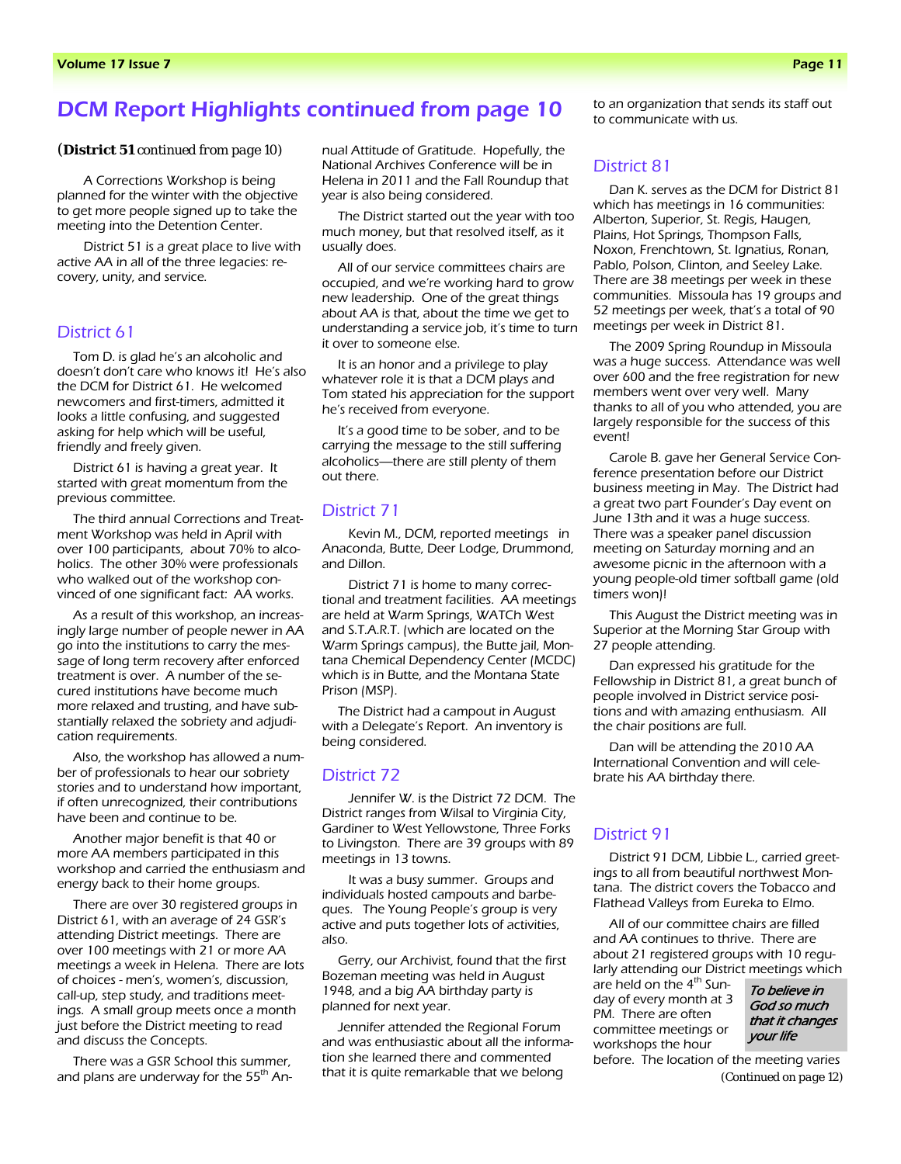### DCM Report Highlights continued from page 10

#### *(District 51 continued from page 10)*

A Corrections Workshop is being planned for the winter with the objective to get more people signed up to take the meeting into the Detention Center.

District 51 is a great place to live with active AA in all of the three legacies: recovery, unity, and service.

### District 61

Tom D. is glad he's an alcoholic and doesn't don't care who knows it! He's also the DCM for District 61. He welcomed newcomers and first-timers, admitted it looks a little confusing, and suggested asking for help which will be useful, friendly and freely given.

District 61 is having a great year. It started with great momentum from the previous committee.

The third annual Corrections and Treatment Workshop was held in April with over 100 participants, about 70% to alcoholics. The other 30% were professionals who walked out of the workshop convinced of one significant fact: AA works.

As a result of this workshop, an increasingly large number of people newer in AA go into the institutions to carry the message of long term recovery after enforced treatment is over. A number of the secured institutions have become much more relaxed and trusting, and have substantially relaxed the sobriety and adjudication requirements.

Also, the workshop has allowed a number of professionals to hear our sobriety stories and to understand how important, if often unrecognized, their contributions have been and continue to be.

Another major benefit is that 40 or more AA members participated in this workshop and carried the enthusiasm and energy back to their home groups.

There are over 30 registered groups in District 61, with an average of 24 GSR's attending District meetings. There are over 100 meetings with 21 or more AA meetings a week in Helena. There are lots of choices - men's, women's, discussion, call-up, step study, and traditions meetings. A small group meets once a month just before the District meeting to read and discuss the Concepts.

There was a GSR School this summer, and plans are underway for the  $55<sup>th</sup>$  Annual Attitude of Gratitude. Hopefully, the National Archives Conference will be in Helena in 2011 and the Fall Roundup that year is also being considered.

The District started out the year with too much money, but that resolved itself, as it usually does.

All of our service committees chairs are occupied, and we're working hard to grow new leadership. One of the great things about AA is that, about the time we get to understanding a service job, it's time to turn it over to someone else.

It is an honor and a privilege to play whatever role it is that a DCM plays and Tom stated his appreciation for the support he's received from everyone.

It's a good time to be sober, and to be carrying the message to the still suffering alcoholics—there are still plenty of them out there.

### District 71

Kevin M., DCM, reported meetings in Anaconda, Butte, Deer Lodge, Drummond, and Dillon.

District 71 is home to many correctional and treatment facilities. AA meetings are held at Warm Springs, WATCh West and S.T.A.R.T. (which are located on the Warm Springs campus), the Butte jail, Montana Chemical Dependency Center (MCDC) which is in Butte, and the Montana State Prison (MSP).

The District had a campout in August with a Delegate's Report. An inventory is being considered.

### District 72

Jennifer W. is the District 72 DCM. The District ranges from Wilsal to Virginia City, Gardiner to West Yellowstone, Three Forks to Livingston. There are 39 groups with 89 meetings in 13 towns.

It was a busy summer. Groups and individuals hosted campouts and barbeques. The Young People's group is very active and puts together lots of activities, also.

Gerry, our Archivist, found that the first Bozeman meeting was held in August 1948, and a big AA birthday party is planned for next year.

Jennifer attended the Regional Forum and was enthusiastic about all the information she learned there and commented that it is quite remarkable that we belong

to an organization that sends its staff out to communicate with us.

### District 81

Dan K. serves as the DCM for District 81 which has meetings in 16 communities: Alberton, Superior, St. Regis, Haugen, Plains, Hot Springs, Thompson Falls, Noxon, Frenchtown, St. Ignatius, Ronan, Pablo, Polson, Clinton, and Seeley Lake. There are 38 meetings per week in these communities. Missoula has 19 groups and 52 meetings per week, that's a total of 90 meetings per week in District 81.

The 2009 Spring Roundup in Missoula was a huge success. Attendance was well over 600 and the free registration for new members went over very well. Many thanks to all of you who attended, you are largely responsible for the success of this event!

Carole B. gave her General Service Conference presentation before our District business meeting in May. The District had a great two part Founder's Day event on June 13th and it was a huge success. There was a speaker panel discussion meeting on Saturday morning and an awesome picnic in the afternoon with a young people-old timer softball game (old timers won)!

This August the District meeting was in Superior at the Morning Star Group with 27 people attending.

Dan expressed his gratitude for the Fellowship in District 81, a great bunch of people involved in District service positions and with amazing enthusiasm. All the chair positions are full.

Dan will be attending the 2010 AA International Convention and will celebrate his AA birthday there.

### District 91

District 91 DCM, Libbie L., carried greetings to all from beautiful northwest Montana. The district covers the Tobacco and Flathead Valleys from Eureka to Elmo.

All of our committee chairs are filled and AA continues to thrive. There are about 21 registered groups with 10 regularly attending our District meetings which

are held on the 4<sup>th</sup> Sunday of every month at 3 PM. There are often committee meetings or workshops the hour

To believe in God so much that it changes your life

before. The location of the meeting varies *(Continued on page 12)*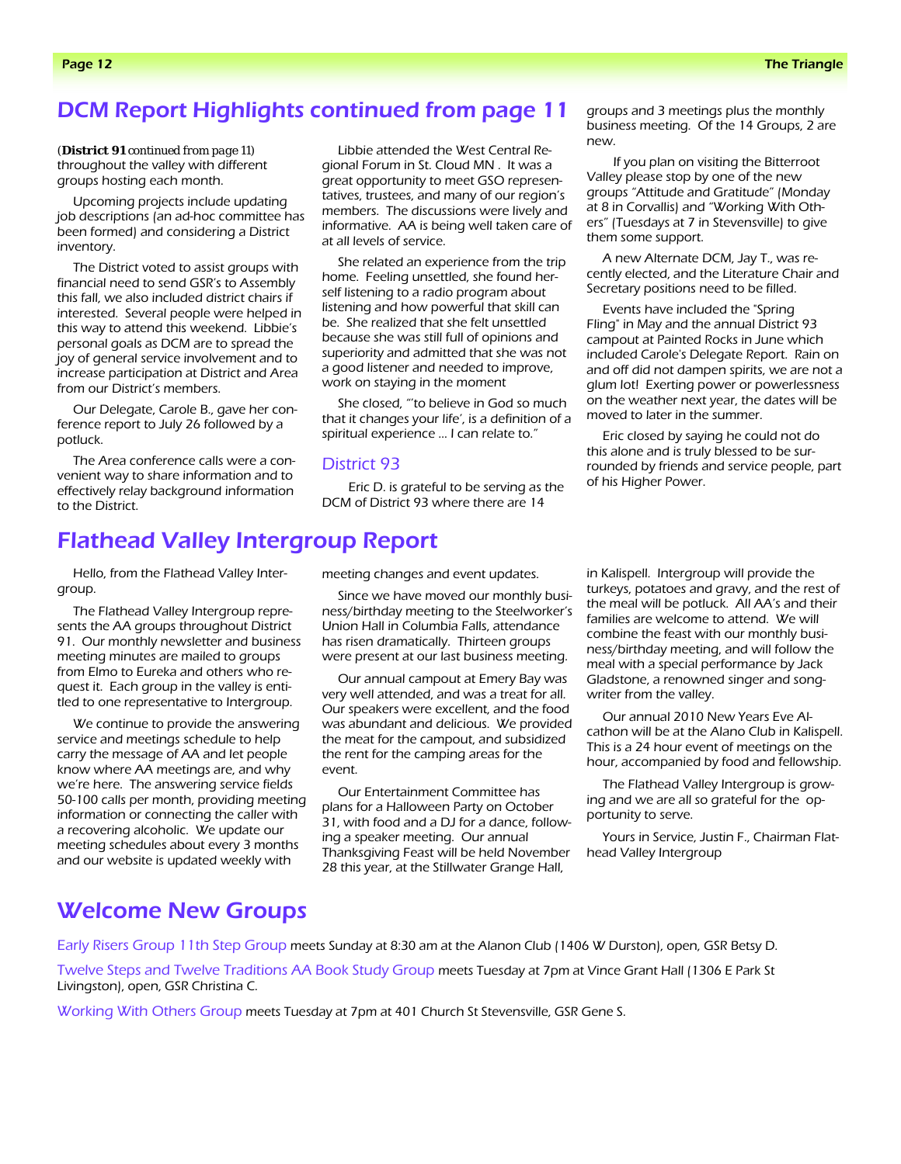### DCM Report Highlights continued from page 11

throughout the valley with different groups hosting each month.

Upcoming projects include updating job descriptions (an ad-hoc committee has been formed) and considering a District inventory.

The District voted to assist groups with financial need to send GSR's to Assembly this fall, we also included district chairs if interested. Several people were helped in this way to attend this weekend. Libbie's personal goals as DCM are to spread the joy of general service involvement and to increase participation at District and Area from our District's members.

Our Delegate, Carole B., gave her conference report to July 26 followed by a potluck.

The Area conference calls were a convenient way to share information and to effectively relay background information to the District.

Flathead Valley Intergroup Report

Hello, from the Flathead Valley Intergroup.

The Flathead Valley Intergroup represents the AA groups throughout District 91. Our monthly newsletter and business meeting minutes are mailed to groups from Elmo to Eureka and others who request it. Each group in the valley is entitled to one representative to Intergroup.

We continue to provide the answering service and meetings schedule to help carry the message of AA and let people know where AA meetings are, and why we're here. The answering service fields 50-100 calls per month, providing meeting information or connecting the caller with a recovering alcoholic. We update our meeting schedules about every 3 months and our website is updated weekly with

*(District 91 continued from page 11)* Libbie attended the West Central Regional Forum in St. Cloud MN . It was a great opportunity to meet GSO representatives, trustees, and many of our region's members. The discussions were lively and informative. AA is being well taken care of at all levels of service.

> She related an experience from the trip home. Feeling unsettled, she found herself listening to a radio program about listening and how powerful that skill can be. She realized that she felt unsettled because she was still full of opinions and superiority and admitted that she was not a good listener and needed to improve, work on staying in the moment

She closed, "'to believe in God so much that it changes your life', is a definition of a spiritual experience … I can relate to."

#### District 93

Eric D. is grateful to be serving as the DCM of District 93 where there are 14

groups and 3 meetings plus the monthly business meeting. Of the 14 Groups, 2 are new.

If you plan on visiting the Bitterroot Valley please stop by one of the new groups "Attitude and Gratitude" (Monday at 8 in Corvallis) and "Working With Others" (Tuesdays at 7 in Stevensville) to give them some support.

A new Alternate DCM, Jay T., was recently elected, and the Literature Chair and Secretary positions need to be filled.

Events have included the "Spring Fling" in May and the annual District 93 campout at Painted Rocks in June which included Carole's Delegate Report. Rain on and off did not dampen spirits, we are not a glum lot! Exerting power or powerlessness on the weather next year, the dates will be moved to later in the summer.

Eric closed by saying he could not do this alone and is truly blessed to be surrounded by friends and service people, part of his Higher Power.

meeting changes and event updates.

Since we have moved our monthly business/birthday meeting to the Steelworker's Union Hall in Columbia Falls, attendance has risen dramatically. Thirteen groups were present at our last business meeting.

Our annual campout at Emery Bay was very well attended, and was a treat for all. Our speakers were excellent, and the food was abundant and delicious. We provided the meat for the campout, and subsidized the rent for the camping areas for the event.

Our Entertainment Committee has plans for a Halloween Party on October 31, with food and a DJ for a dance, following a speaker meeting. Our annual Thanksgiving Feast will be held November 28 this year, at the Stillwater Grange Hall,

in Kalispell. Intergroup will provide the turkeys, potatoes and gravy, and the rest of the meal will be potluck. All AA's and their families are welcome to attend. We will combine the feast with our monthly business/birthday meeting, and will follow the meal with a special performance by Jack Gladstone, a renowned singer and songwriter from the valley.

Our annual 2010 New Years Eve Alcathon will be at the Alano Club in Kalispell. This is a 24 hour event of meetings on the hour, accompanied by food and fellowship.

The Flathead Valley Intergroup is growing and we are all so grateful for the opportunity to serve.

Yours in Service, Justin F., Chairman Flathead Valley Intergroup

### Welcome New Groups

Early Risers Group 11th Step Group meets Sunday at 8:30 am at the Alanon Club (1406 W Durston), open, GSR Betsy D.

Twelve Steps and Twelve Traditions AA Book Study Group meets Tuesday at 7pm at Vince Grant Hall (1306 E Park St Livingston), open, GSR Christina C.

Working With Others Group meets Tuesday at 7pm at 401 Church St Stevensville, GSR Gene S.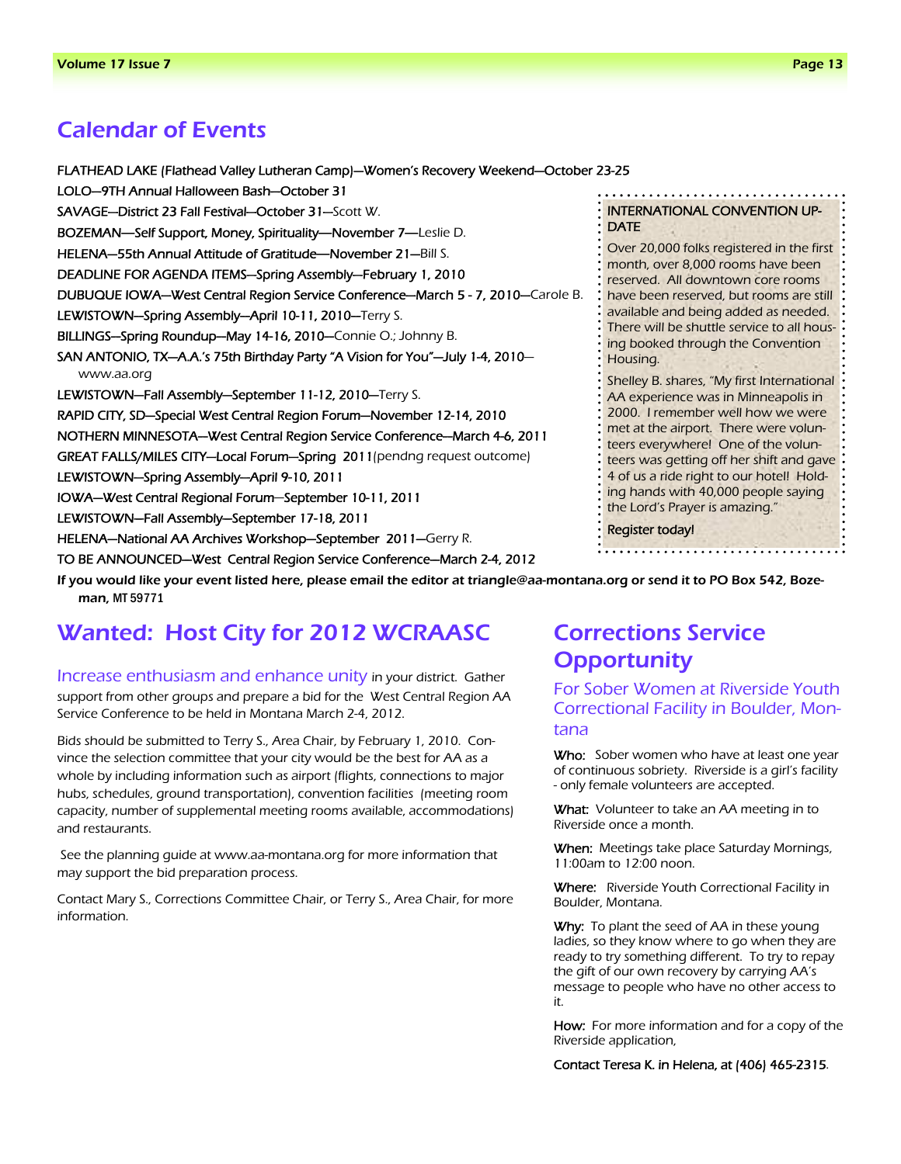### Calendar of Events

FLATHEAD LAKE (Flathead Valley Lutheran Camp)—Women's Recovery Weekend—October 23-25 LOLO—9TH Annual Halloween Bash—October 31 SAVAGE—District 23 Fall Festival—October 31—Scott W. BOZEMAN**—**Self Support, Money, Spirituality**—**November 7**—**Leslie D. HELENA—55th Annual Attitude of Gratitude**—**November 21—Bill S. DEADLINE FOR AGENDA ITEMS—Spring Assembly—February 1, 2010 DUBUQUE IOWA—West Central Region Service Conference—March 5 - 7, 2010—Carole B. LEWISTOWN-Spring Assembly-April 10-11, 2010-Terry S. BILLINGS—Spring Roundup—May 14-16, 2010—Connie O.; Johnny B. SAN ANTONIO, TX—A.A.'s 75th Birthday Party "A Vision for You"—July 1-4, 2010 www.aa.org LEWISTOWN—Fall Assembly—September 11-12, 2010—Terry S. RAPID CITY, SD—Special West Central Region Forum—November 12-14, 2010 NOTHERN MINNESOTA—West Central Region Service Conference—March 4-6, 2011 GREAT FALLS/MILES CITY—Local Forum—Spring 2011(pendng request outcome) LEWISTOWN—Spring Assembly—April 9-10, 2011 IOWA—West Central Regional Forum—September 10-11, 2011 LEWISTOWN—Fall Assembly—September 17-18, 2011 HELENA—National AA Archives Workshop—September 2011—Gerry R. TO BE ANNOUNCED—West Central Region Service Conference—March 2-4, 2012 If you would like your event listed here, please email the editor at triangle@aa-montana.org or send it to PO Box 542, Boze-

### INTERNATIONAL CONVENTION UP-DATE

Over 20,000 folks registered in the first month, over 8,000 rooms have been reserved. All downtown core rooms have been reserved, but rooms are still available and being added as needed. There will be shuttle service to all housing booked through the Convention Housing.

Shelley B. shares, "My first International AA experience was in Minneapolis in 2000. I remember well how we were met at the airport. There were volunteers everywhere! One of the volunteers was getting off her shift and gave: 4 of us a ride right to our hotel! Holding hands with 40,000 people saying the Lord's Prayer is amazing."

#### Register today!

man, MT 59771

# Wanted: Host City for 2012 WCRAASC

Increase enthusiasm and enhance unity in your district. Gather support from other groups and prepare a bid for the West Central Region AA Service Conference to be held in Montana March 2-4, 2012.

Bids should be submitted to Terry S., Area Chair, by February 1, 2010. Convince the selection committee that your city would be the best for AA as a whole by including information such as airport (flights, connections to major hubs, schedules, ground transportation), convention facilities (meeting room capacity, number of supplemental meeting rooms available, accommodations) and restaurants.

 See the planning guide at www.aa-montana.org for more information that may support the bid preparation process.

Contact Mary S., Corrections Committee Chair, or Terry S., Area Chair, for more information.

# Corrections Service **Opportunity**

For Sober Women at Riverside Youth Correctional Facility in Boulder, Montana

Who: Sober women who have at least one year of continuous sobriety. Riverside is a girl's facility - only female volunteers are accepted.

What: Volunteer to take an AA meeting in to Riverside once a month.

When: Meetings take place Saturday Mornings, 11:00am to 12:00 noon.

Where: Riverside Youth Correctional Facility in Boulder, Montana.

**Why:** To plant the seed of AA in these young ladies, so they know where to go when they are ready to try something different. To try to repay the gift of our own recovery by carrying AA's message to people who have no other access to it.

How: For more information and for a copy of the Riverside application,

Contact Teresa K. in Helena, at (406) 465-2315.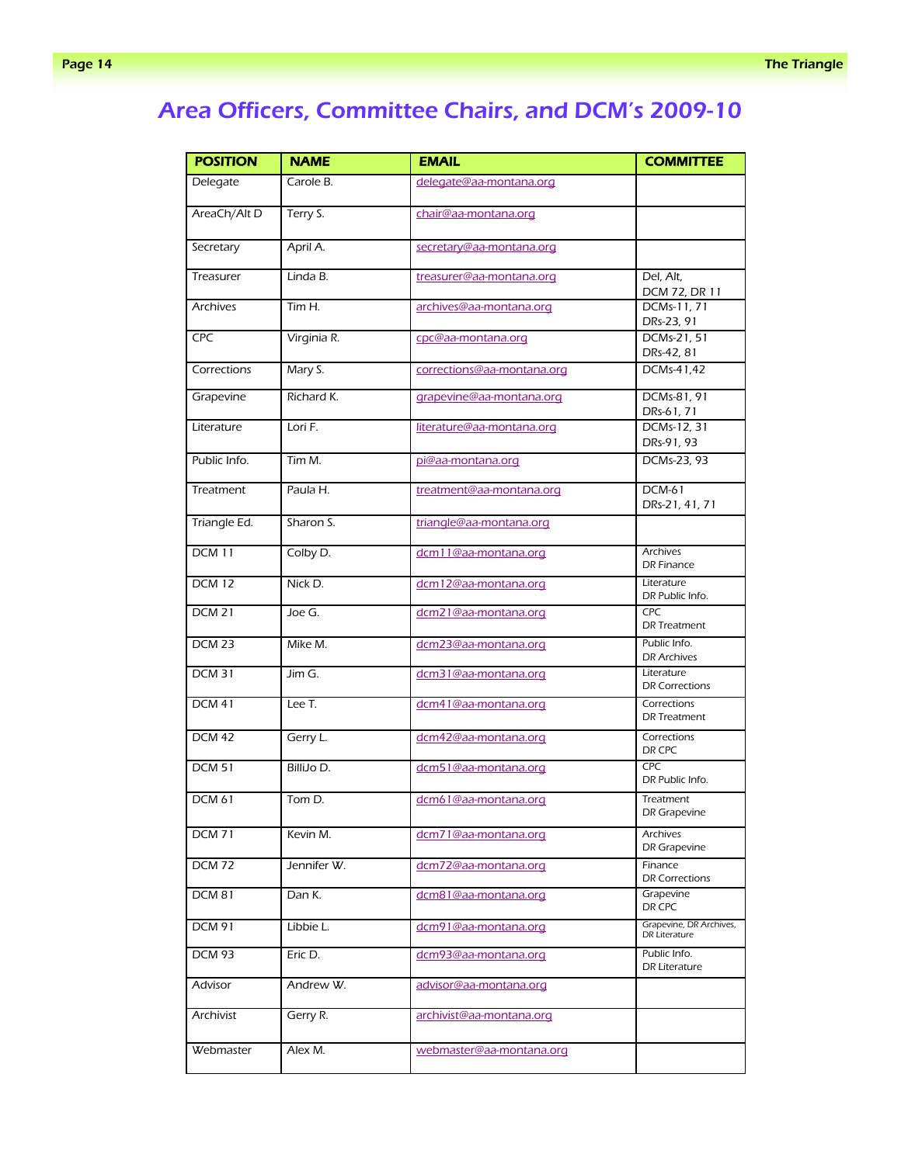# Area Officers, Committee Chairs, and DCM's 2009-10

| <b>POSITION</b>   | <b>NAME</b> | <b>EMAIL</b>               | <b>COMMITTEE</b>                         |
|-------------------|-------------|----------------------------|------------------------------------------|
| Delegate          | Carole B.   | delegate@aa-montana.org    |                                          |
| AreaCh/Alt D      | Terry S.    | chair@aa-montana.org       |                                          |
| Secretary         | April A.    | secretary@aa-montana.org   |                                          |
| Treasurer         | Linda B.    | treasurer@aa-montana.org   | Del, Alt,<br>DCM 72, DR 11               |
| <b>Archives</b>   | Tim H.      | archives@aa-montana.org    | DCMs-11, 71<br>DRs-23, 91                |
| <b>CPC</b>        | Virginia R. | cpc@aa-montana.org         | DCMs-21, 51<br>DRs-42, 81                |
| Corrections       | Mary S.     | corrections@aa-montana.org | DCMs-41,42                               |
| Grapevine         | Richard K.  | grapevine@aa-montana.org   | DCMs-81, 91<br>DRs-61, 71                |
| Literature        | Lori F.     | literature@aa-montana.org  | DCMs-12, 31<br>DRs-91, 93                |
| Public Info.      | Tim M.      | <u>pi@aa-montana.org</u>   | DCMs-23, 93                              |
| Treatment         | Paula H.    | treatment@aa-montana.org   | $DCM-61$<br>DRs-21, 41, 71               |
| Triangle Ed.      | Sharon S.   | triangle@aa-montana.org    |                                          |
| <b>DCM 11</b>     | Colby D.    | dcm11@aa-montana.org       | <b>Archives</b><br><b>DR Finance</b>     |
| <b>DCM 12</b>     | Nick D.     | dcm12@aa-montana.org       | Literature<br>DR Public Info.            |
| <b>DCM 21</b>     | Joe G.      | dcm21@aa-montana.org       | <b>CPC</b><br><b>DR</b> Treatment        |
| $DCM$ 23          | Mike M.     | dcm23@aa-montana.org       | Public Info.<br><b>DR Archives</b>       |
| <b>DCM 31</b>     | Jim G.      | dcm31@aa-montana.org       | Literature<br><b>DR Corrections</b>      |
| <b>DCM 41</b>     | Lee T.      | dcm41@aa-montana.org       | Corrections<br>DR Treatment              |
| <b>DCM 42</b>     | Gerry L.    | dcm42@aa-montana.org       | Corrections<br>DR CPC                    |
| <b>DCM 51</b>     | BilliJo D.  | dcm51@aa-montana.org       | <b>CPC</b><br>DR Public Info.            |
| <b>DCM 61</b>     | Tom D.      | dcm61@aa-montana.org       | Treatment<br>DR Grapevine                |
| <b>DCM 71</b>     | Kevin M.    | dcm71@aa-montana.org       | Archives<br>DR Grapevine                 |
| <b>DCM 72</b>     | Jennifer W. | dcm72@aa-montana.org       | Finance<br><b>DR Corrections</b>         |
| DCM <sub>81</sub> | Dan K.      | dcm81@aa-montana.org       | Grapevine<br>DR CPC                      |
| <b>DCM 91</b>     | Libbie L.   | dcm91@aa-montana.org       | Grapevine, DR Archives,<br>DR Literature |
| DCM 93            | Eric D.     | dcm93@aa-montana.org       | Public Info.<br>DR Literature            |
| Advisor           | Andrew W.   | advisor@aa-montana.org     |                                          |
| Archivist         | Gerry R.    | archivist@aa-montana.org   |                                          |
| Webmaster         | Alex M.     | webmaster@aa-montana.org   |                                          |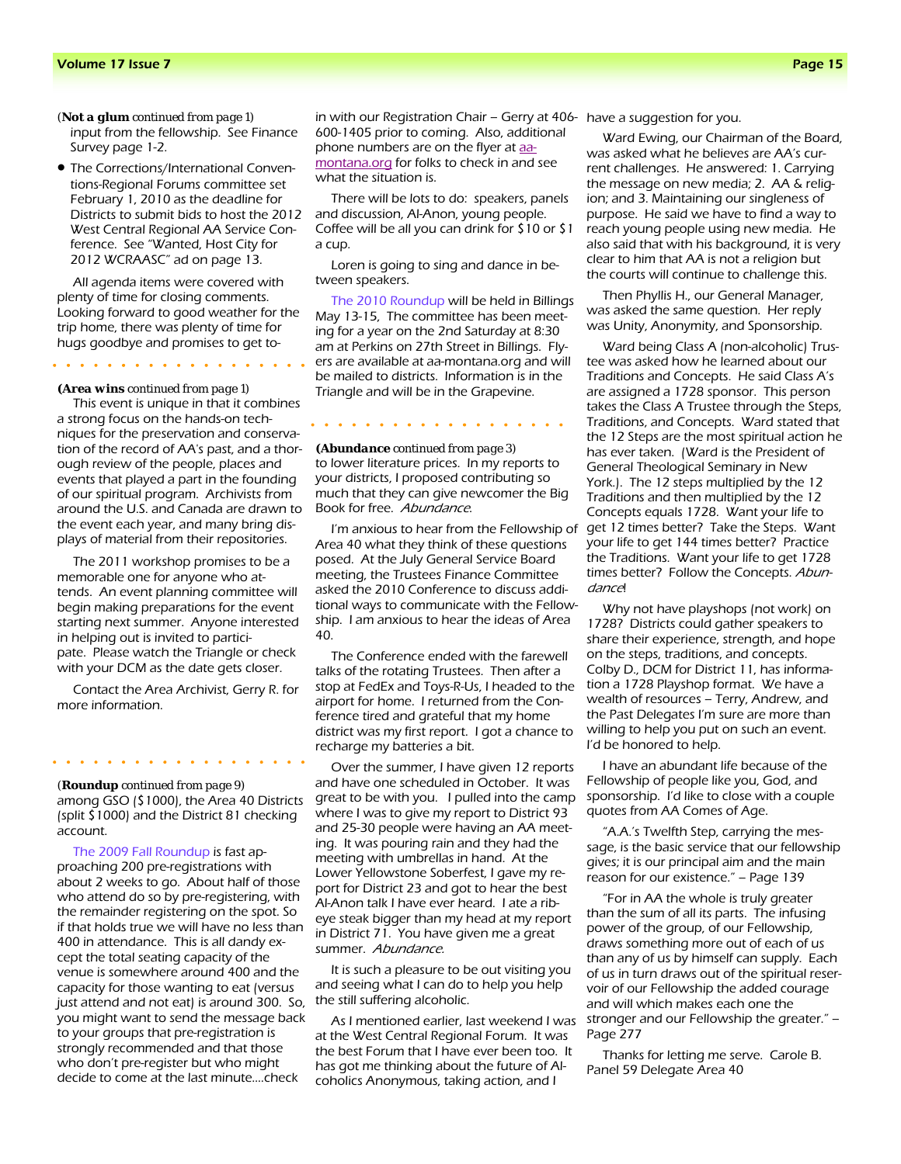input from the fellowship. See Finance Survey page 1-2. *(Not a glum continued from page 1)* 

• The Corrections/International Conventions-Regional Forums committee set February 1, 2010 as the deadline for Districts to submit bids to host the 2012 West Central Regional AA Service Conference. See "Wanted, Host City for 2012 WCRAASC" ad on page 13.

All agenda items were covered with plenty of time for closing comments. Looking forward to good weather for the trip home, there was plenty of time for hugs goodbye and promises to get to-

*(Area wins continued from page 1)* 

This event is unique in that it combines a strong focus on the hands-on techniques for the preservation and conservation of the record of AA's past, and a thorough review of the people, places and events that played a part in the founding of our spiritual program. Archivists from around the U.S. and Canada are drawn to the event each year, and many bring displays of material from their repositories.

The 2011 workshop promises to be a memorable one for anyone who attends. An event planning committee will begin making preparations for the event starting next summer. Anyone interested in helping out is invited to participate. Please watch the Triangle or check with your DCM as the date gets closer.

Contact the Area Archivist, Gerry R. for more information.

among GSO (\$1000), the Area 40 Districts (split \$1000) and the District 81 checking account. *(Roundup continued from page 9)* 

The 2009 Fall Roundup is fast approaching 200 pre-registrations with about 2 weeks to go. About half of those who attend do so by pre-registering, with the remainder registering on the spot. So if that holds true we will have no less than 400 in attendance. This is all dandy except the total seating capacity of the venue is somewhere around 400 and the capacity for those wanting to eat (versus just attend and not eat) is around 300. So, you might want to send the message back to your groups that pre-registration is strongly recommended and that those who don't pre-register but who might decide to come at the last minute….check

in with our Registration Chair – Gerry at 406- have a suggestion for you. 600-1405 prior to coming. Also, additional phone numbers are on the flyer at aamontana.org for folks to check in and see what the situation is.

There will be lots to do: speakers, panels and discussion, Al-Anon, young people. Coffee will be all you can drink for \$10 or \$1 a cup.

Loren is going to sing and dance in between speakers.

The 2010 Roundup will be held in Billings May 13-15, The committee has been meeting for a year on the 2nd Saturday at 8:30 am at Perkins on 27th Street in Billings. Flyers are available at aa-montana.org and will be mailed to districts. Information is in the Triangle and will be in the Grapevine.

. . . . . . .

to lower literature prices. In my reports to your districts, I proposed contributing so much that they can give newcomer the Big Book for free. Abundance. *(Abundance continued from page 3)* 

I'm anxious to hear from the Fellowship of Area 40 what they think of these questions posed. At the July General Service Board meeting, the Trustees Finance Committee asked the 2010 Conference to discuss additional ways to communicate with the Fellowship. I am anxious to hear the ideas of Area 40.

The Conference ended with the farewell talks of the rotating Trustees. Then after a stop at FedEx and Toys-R-Us, I headed to the airport for home. I returned from the Conference tired and grateful that my home district was my first report. I got a chance to recharge my batteries a bit.

Over the summer, I have given 12 reports and have one scheduled in October. It was great to be with you. I pulled into the camp where I was to give my report to District 93 and 25-30 people were having an AA meeting. It was pouring rain and they had the meeting with umbrellas in hand. At the Lower Yellowstone Soberfest, I gave my report for District 23 and got to hear the best Al-Anon talk I have ever heard. I ate a ribeye steak bigger than my head at my report in District 71. You have given me a great summer. Abundance.

It is such a pleasure to be out visiting you and seeing what I can do to help you help the still suffering alcoholic.

As I mentioned earlier, last weekend I was at the West Central Regional Forum. It was the best Forum that I have ever been too. It has got me thinking about the future of Alcoholics Anonymous, taking action, and I

Ward Ewing, our Chairman of the Board, was asked what he believes are AA's current challenges. He answered: 1. Carrying the message on new media; 2. AA & religion; and 3. Maintaining our singleness of purpose. He said we have to find a way to reach young people using new media. He also said that with his background, it is very clear to him that AA is not a religion but the courts will continue to challenge this.

Then Phyllis H., our General Manager, was asked the same question. Her reply was Unity, Anonymity, and Sponsorship.

Ward being Class A (non-alcoholic) Trustee was asked how he learned about our Traditions and Concepts. He said Class A's are assigned a 1728 sponsor. This person takes the Class A Trustee through the Steps, Traditions, and Concepts. Ward stated that the 12 Steps are the most spiritual action he has ever taken. (Ward is the President of General Theological Seminary in New York.). The 12 steps multiplied by the 12 Traditions and then multiplied by the 12 Concepts equals 1728. Want your life to get 12 times better? Take the Steps. Want your life to get 144 times better? Practice the Traditions. Want your life to get 1728 times better? Follow the Concepts. Abundancel

Why not have playshops (not work) on 1728? Districts could gather speakers to share their experience, strength, and hope on the steps, traditions, and concepts. Colby D., DCM for District 11, has information a 1728 Playshop format. We have a wealth of resources – Terry, Andrew, and the Past Delegates I'm sure are more than willing to help you put on such an event. I'd be honored to help.

I have an abundant life because of the Fellowship of people like you, God, and sponsorship. I'd like to close with a couple quotes from AA Comes of Age.

"A.A.'s Twelfth Step, carrying the message, is the basic service that our fellowship gives; it is our principal aim and the main reason for our existence." – Page 139

"For in AA the whole is truly greater than the sum of all its parts. The infusing power of the group, of our Fellowship, draws something more out of each of us than any of us by himself can supply. Each of us in turn draws out of the spiritual reservoir of our Fellowship the added courage and will which makes each one the stronger and our Fellowship the greater." – Page 277

Thanks for letting me serve. Carole B. Panel 59 Delegate Area 40